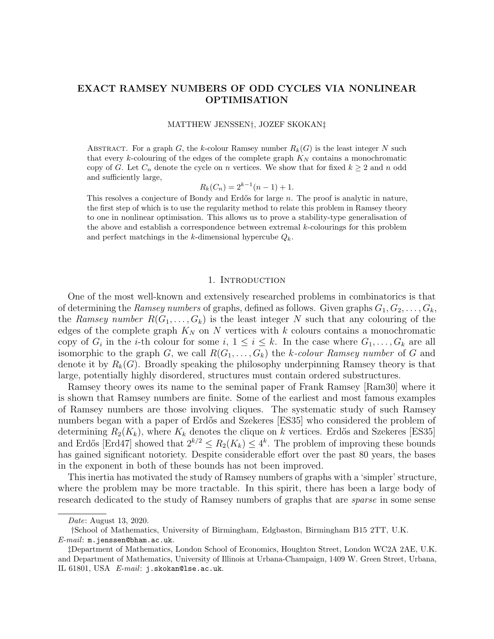# EXACT RAMSEY NUMBERS OF ODD CYCLES VIA NONLINEAR OPTIMISATION

#### MATTHEW JENSSEN†, JOZEF SKOKAN‡

ABSTRACT. For a graph G, the k-colour Ramsey number  $R_k(G)$  is the least integer N such that every k-colouring of the edges of the complete graph  $K_N$  contains a monochromatic copy of G. Let  $C_n$  denote the cycle on n vertices. We show that for fixed  $k \geq 2$  and n odd and sufficiently large,

$$
R_k(C_n) = 2^{k-1}(n-1) + 1.
$$

This resolves a conjecture of Bondy and Erdős for large  $n$ . The proof is analytic in nature, the first step of which is to use the regularity method to relate this problem in Ramsey theory to one in nonlinear optimisation. This allows us to prove a stability-type generalisation of the above and establish a correspondence between extremal  $k$ -colourings for this problem and perfect matchings in the k-dimensional hypercube  $Q_k$ .

## 1. Introduction

One of the most well-known and extensively researched problems in combinatorics is that of determining the Ramsey numbers of graphs, defined as follows. Given graphs  $G_1, G_2, \ldots, G_k$ , the Ramsey number  $R(G_1, \ldots, G_k)$  is the least integer N such that any colouring of the edges of the complete graph  $K_N$  on N vertices with k colours contains a monochromatic copy of  $G_i$  in the *i*-th colour for some  $i, 1 \leq i \leq k$ . In the case where  $G_1, \ldots, G_k$  are all isomorphic to the graph G, we call  $R(G_1, \ldots, G_k)$  the k-colour Ramsey number of G and denote it by  $R_k(G)$ . Broadly speaking the philosophy underpinning Ramsey theory is that large, potentially highly disordered, structures must contain ordered substructures.

Ramsey theory owes its name to the seminal paper of Frank Ramsey [\[Ram30\]](#page-36-0) where it is shown that Ramsey numbers are finite. Some of the earliest and most famous examples of Ramsey numbers are those involving cliques. The systematic study of such Ramsey numbers began with a paper of Erdős and Szekeres [\[ES35\]](#page-36-1) who considered the problem of determining  $R_2(K_k)$ , where  $K_k$  denotes the clique on k vertices. Erdős and Szekeres [\[ES35\]](#page-36-1) and Erdős [\[Erd47\]](#page-35-0) showed that  $2^{k/2} \le R_2(K_k) \le 4^k$ . The problem of improving these bounds has gained significant notoriety. Despite considerable effort over the past 80 years, the bases in the exponent in both of these bounds has not been improved.

This inertia has motivated the study of Ramsey numbers of graphs with a 'simpler' structure, where the problem may be more tractable. In this spirit, there has been a large body of research dedicated to the study of Ramsey numbers of graphs that are *sparse* in some sense

Date: August 13, 2020.

<sup>†</sup>School of Mathematics, University of Birmingham, Edgbaston, Birmingham B15 2TT, U.K.  $E-mail:$  m.jenssen@bham.ac.uk.

<sup>‡</sup>Department of Mathematics, London School of Economics, Houghton Street, London WC2A 2AE, U.K. and Department of Mathematics, University of Illinois at Urbana-Champaign, 1409 W. Green Street, Urbana, IL 61801, USA E-mail: j.skokan@lse.ac.uk.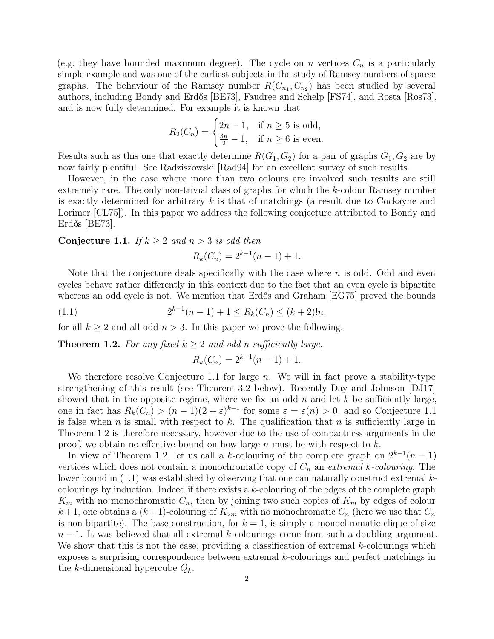(e.g. they have bounded maximum degree). The cycle on n vertices  $C_n$  is a particularly simple example and was one of the earliest subjects in the study of Ramsey numbers of sparse graphs. The behaviour of the Ramsey number  $R(C_{n_1}, C_{n_2})$  has been studied by several authors, including Bondy and Erdős [\[BE73\]](#page-35-1), Faudree and Schelp [\[FS74\]](#page-36-2), and Rosta [\[Ros73\]](#page-36-3), and is now fully determined. For example it is known that

$$
R_2(C_n) = \begin{cases} 2n - 1, & \text{if } n \ge 5 \text{ is odd,} \\ \frac{3n}{2} - 1, & \text{if } n \ge 6 \text{ is even.} \end{cases}
$$

Results such as this one that exactly determine  $R(G_1, G_2)$  for a pair of graphs  $G_1, G_2$  are by now fairly plentiful. See Radziszowski [\[Rad94\]](#page-36-4) for an excellent survey of such results.

However, in the case where more than two colours are involved such results are still extremely rare. The only non-trivial class of graphs for which the k-colour Ramsey number is exactly determined for arbitrary  $k$  is that of matchings (a result due to Cockayne and Lorimer [\[CL75\]](#page-35-2)). In this paper we address the following conjecture attributed to Bondy and  $Erd\ddot{\circ}$   $|BE73|$ .

<span id="page-1-0"></span>**Conjecture 1.1.** If  $k \geq 2$  and  $n > 3$  is odd then

$$
R_k(C_n) = 2^{k-1}(n-1) + 1.
$$

Note that the conjecture deals specifically with the case where  $n$  is odd. Odd and even cycles behave rather differently in this context due to the fact that an even cycle is bipartite whereas an odd cycle is not. We mention that Erdős and Graham [\[EG75\]](#page-35-3) proved the bounds

<span id="page-1-2"></span>(1.1) 
$$
2^{k-1}(n-1) + 1 \le R_k(C_n) \le (k+2)!n,
$$

for all  $k \geq 2$  and all odd  $n > 3$ . In this paper we prove the following.

<span id="page-1-1"></span>**Theorem 1.2.** For any fixed  $k \geq 2$  and odd n sufficiently large,

$$
R_k(C_n) = 2^{k-1}(n-1) + 1.
$$

We therefore resolve Conjecture [1.1](#page-1-0) for large  $n$ . We will in fact prove a stability-type strengthening of this result (see Theorem [3.2](#page-4-0) below). Recently Day and Johnson [\[DJ17\]](#page-35-4) showed that in the opposite regime, where we fix an odd  $n$  and let  $k$  be sufficiently large, one in fact has  $R_k(C_n) > (n-1)(2+\varepsilon)^{k-1}$  for some  $\varepsilon = \varepsilon(n) > 0$ , and so Conjecture [1.1](#page-1-0) is false when n is small with respect to k. The qualification that n is sufficiently large in Theorem [1.2](#page-1-1) is therefore necessary, however due to the use of compactness arguments in the proof, we obtain no effective bound on how large n must be with respect to  $k$ .

In view of Theorem [1.2,](#page-1-1) let us call a k-colouring of the complete graph on  $2^{k-1}(n-1)$ vertices which does not contain a monochromatic copy of  $C_n$  an extremal k-colouring. The lower bound in  $(1.1)$  was established by observing that one can naturally construct extremal kcolourings by induction. Indeed if there exists a  $k$ -colouring of the edges of the complete graph  $K_m$  with no monochromatic  $C_n$ , then by joining two such copies of  $K_m$  by edges of colour  $k+1$ , one obtains a  $(k+1)$ -colouring of  $K_{2m}$  with no monochromatic  $C_n$  (here we use that  $C_n$ is non-bipartite). The base construction, for  $k = 1$ , is simply a monochromatic clique of size  $n-1$ . It was believed that all extremal k-colourings come from such a doubling argument. We show that this is not the case, providing a classification of extremal k-colourings which exposes a surprising correspondence between extremal k-colourings and perfect matchings in the k-dimensional hypercube  $Q_k$ .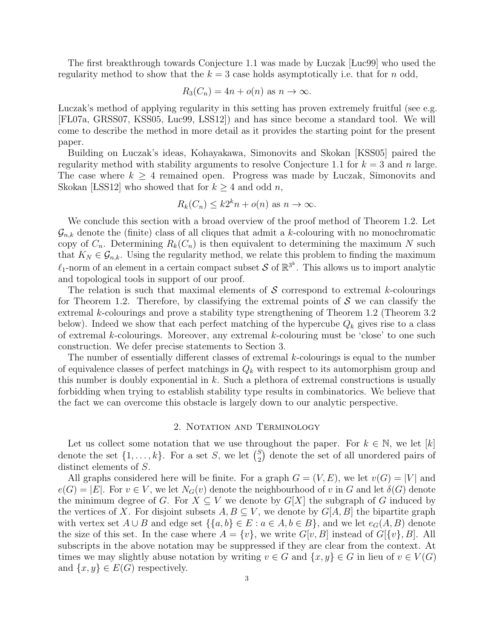The first breakthrough towards Conjecture [1.1](#page-1-2) was made by Luczak [Luc99] who used the regularity method to show that the  $k = 3$  case holds asymptotically i.e. that for n odd,

$$
R_3(C_n) = 4n + o(n) \text{ as } n \to \infty.
$$

 Luczak's method of applying regularity in this setting has proven extremely fruitful (see e.g. [\[F L07a,](#page-36-6) [GRSS07,](#page-36-7) [KSS05,](#page-36-8) [Luc99,](#page-36-5) [LSS12\]](#page-36-9)) and has since become a standard tool. We will come to describe the method in more detail as it provides the starting point for the present paper.

Building on Luczak's ideas, Kohayakawa, Simonovits and Skokan [\[KSS05\]](#page-36-8) paired the regularity method with stability arguments to resolve Conjecture [1.1](#page-1-0) for  $k = 3$  and n large. The case where  $k \geq 4$  remained open. Progress was made by Luczak, Simonovits and Skokan [LSS12] who showed that for  $k \geq 4$  and odd n,

$$
R_k(C_n) \le k2^k n + o(n) \text{ as } n \to \infty.
$$

We conclude this section with a broad overview of the proof method of Theorem [1.2.](#page-1-1) Let  $\mathcal{G}_{n,k}$  denote the (finite) class of all cliques that admit a k-colouring with no monochromatic copy of  $C_n$ . Determining  $R_k(C_n)$  is then equivalent to determining the maximum N such that  $K_N \in \mathcal{G}_{n,k}$ . Using the regularity method, we relate this problem to finding the maximum  $\ell_1$ -norm of an element in a certain compact subset S of  $\mathbb{R}^{3^k}$ . This allows us to import analytic and topological tools in support of our proof.

The relation is such that maximal elements of  $S$  correspond to extremal k-colourings for Theorem [1.2.](#page-1-1) Therefore, by classifying the extremal points of  $S$  we can classify the extremal k-colourings and prove a stability type strengthening of Theorem [1.2](#page-1-1) (Theorem [3.2](#page-4-0) below). Indeed we show that each perfect matching of the hypercube  $Q_k$  gives rise to a class of extremal  $k$ -colourings. Moreover, any extremal  $k$ -colouring must be 'close' to one such construction. We defer precise statements to Section [3.](#page-3-0)

The number of essentially different classes of extremal k-colourings is equal to the number of equivalence classes of perfect matchings in  $Q_k$  with respect to its automorphism group and this number is doubly exponential in  $k$ . Such a plethora of extremal constructions is usually forbidding when trying to establish stability type results in combinatorics. We believe that the fact we can overcome this obstacle is largely down to our analytic perspective.

#### 2. NOTATION AND TERMINOLOGY

Let us collect some notation that we use throughout the paper. For  $k \in \mathbb{N}$ , we let  $[k]$ denote the set  $\{1,\ldots,k\}$ . For a set S, we let  $\binom{S}{2}$  $_2^S$ ) denote the set of all unordered pairs of distinct elements of S.

All graphs considered here will be finite. For a graph  $G = (V, E)$ , we let  $v(G) = |V|$  and  $e(G) = |E|$ . For  $v \in V$ , we let  $N_G(v)$  denote the neighbourhood of v in G and let  $\delta(G)$  denote the minimum degree of G. For  $X \subseteq V$  we denote by  $G[X]$  the subgraph of G induced by the vertices of X. For disjoint subsets  $A, B \subseteq V$ , we denote by  $G[A, B]$  the bipartite graph with vertex set  $A \cup B$  and edge set  $\{\{a, b\} \in E : a \in A, b \in B\}$ , and we let  $e_G(A, B)$  denote the size of this set. In the case where  $A = \{v\}$ , we write  $G[v, B]$  instead of  $G[\{v\}, B]$ . All subscripts in the above notation may be suppressed if they are clear from the context. At times we may slightly abuse notation by writing  $v \in G$  and  $\{x, y\} \in G$  in lieu of  $v \in V(G)$ and  $\{x, y\} \in E(G)$  respectively.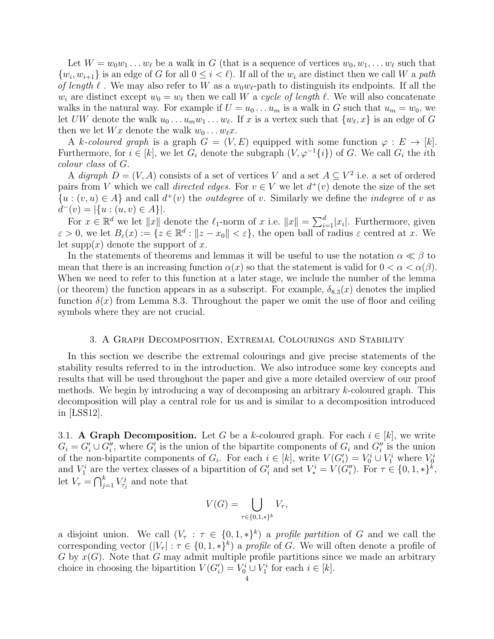Let  $W = w_0w_1 \ldots w_\ell$  be a walk in G (that is a sequence of vertices  $w_0, w_1, \ldots w_\ell$  such that  $\{w_i, w_{i+1}\}\$ is an edge of G for all  $0 \leq i \leq \ell$ . If all of the  $w_i$  are distinct then we call W a path of length  $\ell$ . We may also refer to W as a  $w_0w_{\ell}$ -path to distinguish its endpoints. If all the  $w_i$  are distinct except  $w_0 = w_\ell$  then we call W a cycle of length  $\ell$ . We will also concatenate walks in the natural way. For example if  $U = u_0 \dots u_m$  is a walk in G such that  $u_m = w_0$ , we let UW denote the walk  $u_0 \dots u_m w_1 \dots w_\ell$ . If x is a vertex such that  $\{w_\ell, x\}$  is an edge of G then we let  $Wx$  denote the walk  $w_0 \dots w_{\ell}x$ .

A k-coloured graph is a graph  $G = (V, E)$  equipped with some function  $\varphi : E \to [k]$ . Furthermore, for  $i \in [k]$ , we let  $G_i$  denote the subgraph  $(V, \varphi^{-1}{i})$  of G. We call  $G_i$  the *i*th colour class of G.

A digraph  $D = (V, A)$  consists of a set of vertices V and a set  $A \subseteq V^2$  i.e. a set of ordered pairs from V which we call *directed edges*. For  $v \in V$  we let  $d^+(v)$  denote the size of the set  $\{u : (v, u) \in A\}$  and call  $d^+(v)$  the *outdegree* of v. Similarly we define the *indegree* of v as  $d^-(v) = |\{u : (u, v) \in A\}|.$ 

For  $x \in \mathbb{R}^d$  we let  $||x||$  denote the  $\ell_1$ -norm of x i.e.  $||x|| = \sum_{i=1}^d |x_i|$ . Furthermore, given  $\varepsilon > 0$ , we let  $B_{\varepsilon}(x) := \{z \in \mathbb{R}^d : ||z - x_0|| < \varepsilon\}$ , the open ball of radius  $\varepsilon$  centred at x. We let supp $(x)$  denote the support of x.

In the statements of theorems and lemmas it will be useful to use the notation  $\alpha \ll \beta$  to mean that there is an increasing function  $\alpha(x)$  so that the statement is valid for  $0 < \alpha < \alpha(\beta)$ . When we need to refer to this function at a later stage, we include the number of the lemma (or theorem) the function appears in as a subscript. For example,  $\delta_{8,3}(x)$  $\delta_{8,3}(x)$  $\delta_{8,3}(x)$  denotes the implied function  $\delta(x)$  from Lemma [8.3.](#page-25-0) Throughout the paper we omit the use of floor and ceiling symbols where they are not crucial.

### 3. A Graph Decomposition, Extremal Colourings and Stability

<span id="page-3-0"></span>In this section we describe the extremal colourings and give precise statements of the stability results referred to in the introduction. We also introduce some key concepts and results that will be used throughout the paper and give a more detailed overview of our proof methods. We begin by introducing a way of decomposing an arbitrary k-coloured graph. This decomposition will play a central role for us and is similar to a decomposition introduced in  $[{\rm LSS12}]$ .

<span id="page-3-1"></span>3.1. A Graph Decomposition. Let G be a k-coloured graph. For each  $i \in [k]$ , we write  $G_i = G'_i \cup G''_i$ , where  $G'_i$  is the union of the bipartite components of  $G_i$  and  $G''_i$  is the union of the non-bipartite components of  $G_i$ . For each  $i \in [k]$ , write  $V(G'_i) = V_0^i \cup V_1^i$  where  $V_0^i$ and  $V_1^i$  are the vertex classes of a bipartition of  $G_i'$  and set  $V_*^i = V(G_i'')$ . For  $\tau \in \{0, 1, *\}^k$ , let  $V_{\tau} = \bigcap_{j=1}^{k} V_{\tau_j}^j$  and note that

$$
V(G) = \bigcup_{\tau \in \{0,1,\ast\}^k} V_{\tau},
$$

a disjoint union. We call  $(V_\tau : \tau \in \{0,1,*\}^k)$  a profile partition of G and we call the corresponding vector  $(|V_{\tau}| : \tau \in \{0,1,*\}^k)$  a profile of G. We will often denote a profile of  $G$  by  $x(G)$ . Note that G may admit multiple profile partitions since we made an arbitrary choice in choosing the bipartition  $V(G_i') = V_0^i \cup V_1^i$  for each  $i \in [k]$ .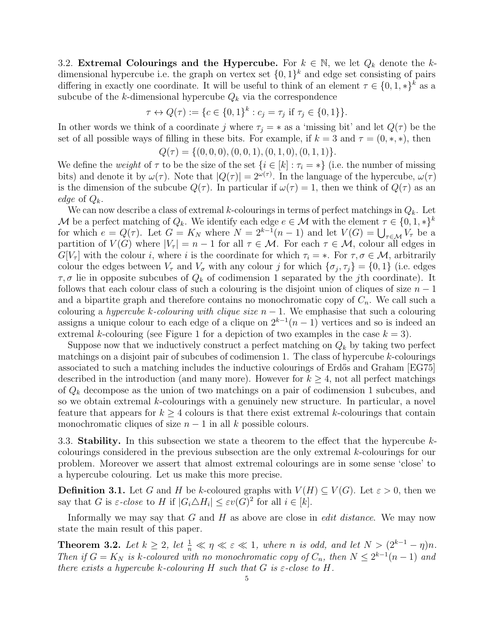<span id="page-4-1"></span>3.2. Extremal Colourings and the Hypercube. For  $k \in \mathbb{N}$ , we let  $Q_k$  denote the kdimensional hypercube i.e. the graph on vertex set  $\{0,1\}^k$  and edge set consisting of pairs differing in exactly one coordinate. It will be useful to think of an element  $\tau \in \{0, 1, *\}^k$  as a subcube of the k-dimensional hypercube  $Q_k$  via the correspondence

$$
\tau \leftrightarrow Q(\tau) := \{c \in \{0,1\}^k : c_j = \tau_j \text{ if } \tau_j \in \{0,1\} \}.
$$

In other words we think of a coordinate j where  $\tau_j = *$  as a 'missing bit' and let  $Q(\tau)$  be the set of all possible ways of filling in these bits. For example, if  $k = 3$  and  $\tau = (0, \ast, \ast)$ , then

$$
Q(\tau) = \{(0,0,0), (0,0,1), (0,1,0), (0,1,1)\}.
$$

We define the weight of  $\tau$  to be the size of the set  $\{i \in [k] : \tau_i = *\}$  (i.e. the number of missing bits) and denote it by  $\omega(\tau)$ . Note that  $|Q(\tau)| = 2^{\omega(\tau)}$ . In the language of the hypercube,  $\omega(\tau)$ is the dimension of the subcube  $Q(\tau)$ . In particular if  $\omega(\tau) = 1$ , then we think of  $Q(\tau)$  as an edge of  $Q_k$ .

We can now describe a class of extremal k-colourings in terms of perfect matchings in  $Q_k$ . Let M be a perfect matching of  $Q_k$ . We identify each edge  $e \in \mathcal{M}$  with the element  $\tau \in \{0,1,*\}^k$ for which  $e = Q(\tau)$ . Let  $G = K_N$  where  $N = 2^{k-1}(n-1)$  and let  $V(G) = \bigcup_{\tau \in \mathcal{M}} V_{\tau}$  be a partition of  $V(G)$  where  $|V_\tau| = n - 1$  for all  $\tau \in \mathcal{M}$ . For each  $\tau \in \mathcal{M}$ , colour all edges in  $G[V_\tau]$  with the colour i, where i is the coordinate for which  $\tau_i = *$ . For  $\tau, \sigma \in \mathcal{M}$ , arbitrarily colour the edges between  $V_{\tau}$  and  $V_{\sigma}$  with any colour j for which  $\{\sigma_j, \tau_j\} = \{0, 1\}$  (i.e. edges  $\tau, \sigma$  lie in opposite subcubes of  $Q_k$  of codimension 1 separated by the *j*th coordinate). It follows that each colour class of such a colouring is the disjoint union of cliques of size  $n-1$ and a bipartite graph and therefore contains no monochromatic copy of  $C_n$ . We call such a colouring a hypercube k-colouring with clique size  $n - 1$ . We emphasise that such a colouring assigns a unique colour to each edge of a clique on  $2^{k-1}(n-1)$  vertices and so is indeed an extremal k-colouring (see Figure 1 for a depiction of two examples in the case  $k = 3$ ).

Suppose now that we inductively construct a perfect matching on  $Q_k$  by taking two perfect matchings on a disjoint pair of subcubes of codimension 1. The class of hypercube  $k$ -colourings associated to such a matching includes the inductive colourings of Erdős and Graham [\[EG75\]](#page-35-3) described in the introduction (and many more). However for  $k \geq 4$ , not all perfect matchings of  $Q_k$  decompose as the union of two matchings on a pair of codimension 1 subcubes, and so we obtain extremal k-colourings with a genuinely new structure. In particular, a novel feature that appears for  $k \geq 4$  colours is that there exist extremal k-colourings that contain monochromatic cliques of size  $n - 1$  in all k possible colours.

3.3. Stability. In this subsection we state a theorem to the effect that the hypercube  $k$ colourings considered in the previous subsection are the only extremal k-colourings for our problem. Moreover we assert that almost extremal colourings are in some sense 'close' to a hypercube colouring. Let us make this more precise.

**Definition 3.1.** Let G and H be k-coloured graphs with  $V(H) \subseteq V(G)$ . Let  $\varepsilon > 0$ , then we say that G is  $\varepsilon$ -close to H if  $|G_i \triangle H_i| \leq \varepsilon v(G)^2$  for all  $i \in [k]$ .

Informally we may say that  $G$  and  $H$  as above are close in *edit distance*. We may now state the main result of this paper.

<span id="page-4-0"></span>**Theorem 3.2.** Let  $k \geq 2$ , let  $\frac{1}{n} \ll \eta \ll \varepsilon \ll 1$ , where n is odd, and let  $N > (2^{k-1} - \eta)n$ . Then if  $G = K_N$  is k-coloured with no monochromatic copy of  $C_n$ , then  $N \leq 2^{k-1}(n-1)$  and there exists a hypercube k-colouring H such that G is  $\varepsilon$ -close to H.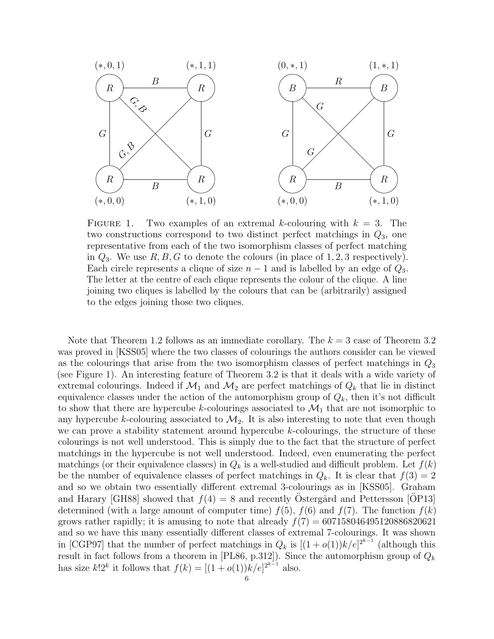

FIGURE 1. Two examples of an extremal k-colouring with  $k = 3$ . The two constructions correspond to two distinct perfect matchings in  $Q_3$ , one representative from each of the two isomorphism classes of perfect matching in  $Q_3$ . We use  $R, B, G$  to denote the colours (in place of 1, 2, 3 respectively). Each circle represents a clique of size  $n-1$  and is labelled by an edge of  $Q_3$ . The letter at the centre of each clique represents the colour of the clique. A line joining two cliques is labelled by the colours that can be (arbitrarily) assigned to the edges joining those two cliques.

Note that Theorem [1.2](#page-1-1) follows as an immediate corollary. The  $k = 3$  case of Theorem [3.2](#page-4-0) was proved in [\[KSS05\]](#page-36-8) where the two classes of colourings the authors consider can be viewed as the colourings that arise from the two isomorphism classes of perfect matchings in  $Q_3$ (see Figure 1). An interesting feature of Theorem [3.2](#page-4-0) is that it deals with a wide variety of extremal colourings. Indeed if  $\mathcal{M}_1$  and  $\mathcal{M}_2$  are perfect matchings of  $Q_k$  that lie in distinct equivalence classes under the action of the automorphism group of  $Q_k$ , then it's not difficult to show that there are hypercube k-colourings associated to  $\mathcal{M}_1$  that are not isomorphic to any hypercube k-colouring associated to  $\mathcal{M}_2$ . It is also interesting to note that even though we can prove a stability statement around hypercube  $k$ -colourings, the structure of these colourings is not well understood. This is simply due to the fact that the structure of perfect matchings in the hypercube is not well understood. Indeed, even enumerating the perfect matchings (or their equivalence classes) in  $Q_k$  is a well-studied and difficult problem. Let  $f(k)$ be the number of equivalence classes of perfect matchings in  $Q_k$ . It is clear that  $f(3) = 2$ and so we obtain two essentially different extremal 3-colourings as in [\[KSS05\]](#page-36-8). Graham and Harary [\[GH88\]](#page-36-10) showed that  $f(4) = 8$  and recently Östergård and Pettersson [[OP13](#page-36-11)] determined (with a large amount of computer time)  $f(5)$ ,  $f(6)$  and  $f(7)$ . The function  $f(k)$ grows rather rapidly; it is amusing to note that already  $f(7) = 607158046495120886820621$ and so we have this many essentially different classes of extremal 7-colourings. It was shown in [\[CGP97\]](#page-35-5) that the number of perfect matchings in  $Q_k$  is  $[(1+o(1))k/e]^{2^{k-1}}$  (although this result in fact follows from a theorem in [\[PL86,](#page-36-12) p.312]). Since the automorphism group of  $Q_k$ has size  $k!2^k$  it follows that  $f(k) = [(1 + o(1))k/e]^{2^{k-1}}$  also.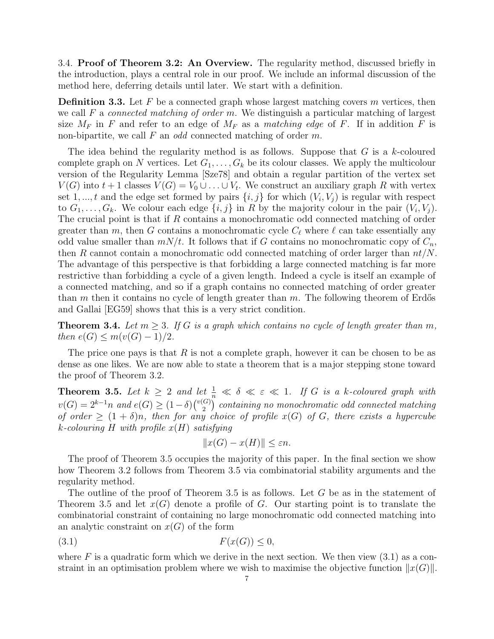3.4. Proof of Theorem [3.2:](#page-4-0) An Overview. The regularity method, discussed briefly in the introduction, plays a central role in our proof. We include an informal discussion of the method here, deferring details until later. We start with a definition.

<span id="page-6-3"></span>**Definition 3.3.** Let  $F$  be a connected graph whose largest matching covers  $m$  vertices, then we call F a *connected matching of order m*. We distinguish a particular matching of largest size  $M_F$  in F and refer to an edge of  $M_F$  as a matching edge of F. If in addition F is non-bipartite, we call  $F$  an *odd* connected matching of order  $m$ .

The idea behind the regularity method is as follows. Suppose that  $G$  is a k-coloured complete graph on N vertices. Let  $G_1, \ldots, G_k$  be its colour classes. We apply the multicolour version of the Regularity Lemma [\[Sze78\]](#page-36-13) and obtain a regular partition of the vertex set  $V(G)$  into  $t+1$  classes  $V(G) = V_0 \cup \ldots \cup V_t$ . We construct an auxiliary graph R with vertex set 1, ..., t and the edge set formed by pairs  $\{i, j\}$  for which  $(V_i, V_j)$  is regular with respect to  $G_1, \ldots, G_k$ . We colour each edge  $\{i, j\}$  in R by the majority colour in the pair  $(V_i, V_j)$ . The crucial point is that if R contains a monochromatic odd connected matching of order greater than m, then G contains a monochromatic cycle  $C_\ell$  where  $\ell$  can take essentially any odd value smaller than  $mN/t$ . It follows that if G contains no monochromatic copy of  $C_n$ , then R cannot contain a monochromatic odd connected matching of order larger than  $nt/N$ . The advantage of this perspective is that forbidding a large connected matching is far more restrictive than forbidding a cycle of a given length. Indeed a cycle is itself an example of a connected matching, and so if a graph contains no connected matching of order greater than m then it contains no cycle of length greater than  $m$ . The following theorem of Erdős and Gallai [\[EG59\]](#page-35-6) shows that this is a very strict condition.

<span id="page-6-2"></span>**Theorem 3.4.** Let  $m \geq 3$ . If G is a graph which contains no cycle of length greater than m, then  $e(G) \leq m(v(G) - 1)/2$ .

The price one pays is that  $R$  is not a complete graph, however it can be chosen to be as dense as one likes. We are now able to state a theorem that is a major stepping stone toward the proof of Theorem [3.2.](#page-4-0)

<span id="page-6-0"></span>**Theorem 3.5.** Let  $k \geq 2$  and let  $\frac{1}{n} \ll \delta \ll \varepsilon \ll 1$ . If G is a k-coloured graph with  $v(G) = 2^{k-1}n$  and  $e(G) \geq (1-\delta)\binom{v(G)}{2}$  $\binom{[G]}{2}$  containing no monochromatic odd connected matching of order  $\geq (1 + \delta)n$ , then for any choice of profile  $x(G)$  of G, there exists a hypercube k-colouring H with profile  $x(H)$  satisfying

$$
||x(G) - x(H)|| \le \varepsilon n.
$$

The proof of Theorem [3.5](#page-6-0) occupies the majority of this paper. In the final section we show how Theorem [3.2](#page-4-0) follows from Theorem [3.5](#page-6-0) via combinatorial stability arguments and the regularity method.

The outline of the proof of Theorem [3.5](#page-6-0) is as follows. Let G be as in the statement of Theorem [3.5](#page-6-0) and let  $x(G)$  denote a profile of G. Our starting point is to translate the combinatorial constraint of containing no large monochromatic odd connected matching into an analytic constraint on  $x(G)$  of the form

<span id="page-6-1"></span>
$$
(3.1) \t\t F(x(G)) \le 0,
$$

where F is a quadratic form which we derive in the next section. We then view  $(3.1)$  as a constraint in an optimisation problem where we wish to maximise the objective function  $||x(G)||$ .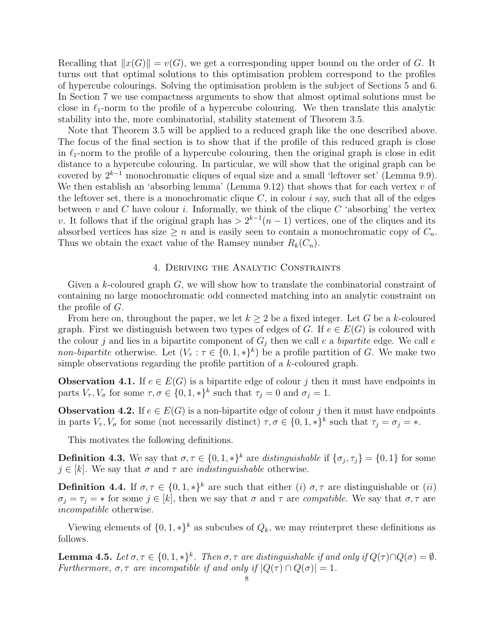Recalling that  $||x(G)|| = v(G)$ , we get a corresponding upper bound on the order of G. It turns out that optimal solutions to this optimisation problem correspond to the profiles of hypercube colourings. Solving the optimisation problem is the subject of Sections [5](#page-11-0) and [6.](#page-17-0) In Section [7](#page-21-0) we use compactness arguments to show that almost optimal solutions must be close in  $\ell_1$ -norm to the profile of a hypercube colouring. We then translate this analytic stability into the, more combinatorial, stability statement of Theorem [3.5.](#page-6-0)

Note that Theorem [3.5](#page-6-0) will be applied to a reduced graph like the one described above. The focus of the final section is to show that if the profile of this reduced graph is close in  $\ell_1$ -norm to the profile of a hypercube colouring, then the original graph is close in edit distance to a hypercube colouring. In particular, we will show that the original graph can be covered by  $2^{k-1}$  monochromatic cliques of equal size and a small 'leftover set' (Lemma [9.9\)](#page-30-0). We then establish an 'absorbing lemma' (Lemma [9.12\)](#page-32-0) that shows that for each vertex  $v$  of the leftover set, there is a monochromatic clique  $C$ , in colour i say, such that all of the edges between v and C have colour i. Informally, we think of the clique  $C$  'absorbing' the vertex v. It follows that if the original graph has  $> 2^{k-1}(n-1)$  vertices, one of the cliques and its absorbed vertices has size  $\geq n$  and is easily seen to contain a monochromatic copy of  $C_n$ . Thus we obtain the exact value of the Ramsey number  $R_k(C_n)$ .

## 4. Deriving the Analytic Constraints

Given a k-coloured graph G, we will show how to translate the combinatorial constraint of containing no large monochromatic odd connected matching into an analytic constraint on the profile of G.

From here on, throughout the paper, we let  $k \geq 2$  be a fixed integer. Let G be a k-coloured graph. First we distinguish between two types of edges of G. If  $e \in E(G)$  is coloured with the colour j and lies in a bipartite component of  $G_i$  then we call e a bipartite edge. We call e non-bipartite otherwise. Let  $(V_\tau : \tau \in \{0,1,*\}^k)$  be a profile partition of G. We make two simple observations regarding the profile partition of a k-coloured graph.

<span id="page-7-0"></span>**Observation 4.1.** If  $e \in E(G)$  is a bipartite edge of colour j then it must have endpoints in parts  $V_{\tau}$ ,  $V_{\sigma}$  for some  $\tau, \sigma \in \{0, 1, *\}^k$  such that  $\tau_j = 0$  and  $\sigma_j = 1$ .

<span id="page-7-1"></span>**Observation 4.2.** If  $e \in E(G)$  is a non-bipartite edge of colour j then it must have endpoints in parts  $V_{\tau}$ ,  $V_{\sigma}$  for some (not necessarily distinct)  $\tau, \sigma \in \{0, 1, *\}^k$  such that  $\tau_j = \sigma_j = *$ .

This motivates the following definitions.

**Definition 4.3.** We say that  $\sigma, \tau \in \{0, 1, *\}^k$  are distinguishable if  $\{\sigma_j, \tau_j\} = \{0, 1\}$  for some  $j \in [k]$ . We say that  $\sigma$  and  $\tau$  are *indistinguishable* otherwise.

**Definition 4.4.** If  $\sigma, \tau \in \{0, 1, *\}^k$  are such that either (i)  $\sigma, \tau$  are distinguishable or (ii)  $\sigma_i = \tau_j = *$  for some  $j \in [k]$ , then we say that  $\sigma$  and  $\tau$  are *compatible*. We say that  $\sigma, \tau$  are incompatible otherwise.

Viewing elements of  $\{0, 1, *\}^k$  as subcubes of  $Q_k$ , we may reinterpret these definitions as follows.

<span id="page-7-2"></span>**Lemma 4.5.** Let  $\sigma, \tau \in \{0, 1, *\}^k$ . Then  $\sigma, \tau$  are distinguishable if and only if  $Q(\tau) \cap Q(\sigma) = \emptyset$ . Furthermore,  $\sigma, \tau$  are incompatible if and only if  $|Q(\tau) \cap Q(\sigma)| = 1$ .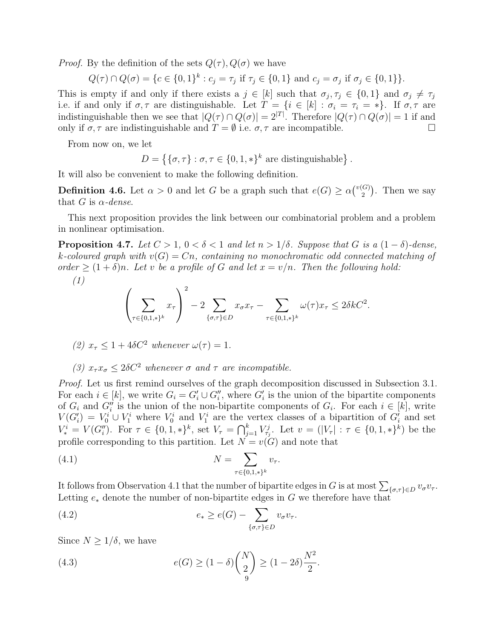*Proof.* By the definition of the sets  $Q(\tau)$ ,  $Q(\sigma)$  we have

 $Q(\tau) \cap Q(\sigma) = \{c \in \{0,1\}^k : c_j = \tau_j \text{ if } \tau_j \in \{0,1\} \text{ and } c_j = \sigma_j \text{ if } \sigma_j \in \{0,1\} \}.$ 

This is empty if and only if there exists a  $j \in [k]$  such that  $\sigma_j, \tau_j \in \{0, 1\}$  and  $\sigma_j \neq \tau_j$ i.e. if and only if  $\sigma, \tau$  are distinguishable. Let  $T = \{i \in [k] : \sigma_i = \tau_i = * \}$ . If  $\sigma, \tau$  are indistinguishable then we see that  $|Q(\tau) \cap Q(\sigma)| = 2^{|T|}$ . Therefore  $|Q(\tau) \cap Q(\sigma)| = 1$  if and only if  $\sigma, \tau$  are indistinguishable and  $T = \emptyset$  i.e.  $\sigma, \tau$  are incompatible.

From now on, we let

$$
D = \{ \{\sigma, \tau\} : \sigma, \tau \in \{0, 1, *\}^k \text{ are distinguishable} \}.
$$

It will also be convenient to make the following definition.

**Definition 4.6.** Let  $\alpha > 0$  and let G be a graph such that  $e(G) \ge \alpha \binom{v(G)}{2}$  $\binom{G}{2}$ . Then we say that G is  $\alpha$ -dense.

This next proposition provides the link between our combinatorial problem and a problem in nonlinear optimisation.

<span id="page-8-3"></span>**Proposition 4.7.** Let  $C > 1$ ,  $0 < \delta < 1$  and let  $n > 1/\delta$ . Suppose that G is a  $(1 - \delta)$ -dense, k-coloured graph with  $v(G) = Cn$ , containing no monochromatic odd connected matching of order  $\geq (1+\delta)n$ . Let v be a profile of G and let  $x = v/n$ . Then the following hold:

$$
(1)
$$

$$
\left(\sum_{\tau \in \{0,1,\ast\}^k} x_{\tau}\right)^2 - 2 \sum_{\{\sigma,\tau\} \in D} x_{\sigma} x_{\tau} - \sum_{\tau \in \{0,1,\ast\}^k} \omega(\tau) x_{\tau} \le 2\delta k C^2.
$$

(2) 
$$
x_{\tau} \leq 1 + 4\delta C^2
$$
 whenever  $\omega(\tau) = 1$ .

(3)  $x_{\tau} x_{\sigma} \leq 2\delta C^2$  whenever  $\sigma$  and  $\tau$  are incompatible.

Proof. Let us first remind ourselves of the graph decomposition discussed in Subsection [3.1.](#page-3-1) For each  $i \in [k]$ , we write  $G_i = G_i' \cup G_i''$ , where  $G_i'$  is the union of the bipartite components of  $G_i$  and  $G''_i$  is the union of the non-bipartite components of  $G_i$ . For each  $i \in [k]$ , write  $V(G_i') = V_0^i \cup V_1^i$  where  $V_0^i$  and  $V_1^i$  are the vertex classes of a bipartition of  $G_i'$  and set  $V_*^i = V(G_i'')$ . For  $\tau \in \{0, 1, *\}^k$ , set  $V_\tau = \bigcap_{j=1}^k V_{\tau_j}^j$ . Let  $v = (|V_\tau| : \tau \in \{0, 1, *\}^k)$  be the profile corresponding to this partition. Let  $N = v(G)$  and note that

<span id="page-8-0"></span>(4.1) 
$$
N = \sum_{\tau \in \{0,1,\ast\}^k} v_{\tau}.
$$

It follows from Observation [4.1](#page-7-0) that the number of bipartite edges in G is at most  $\sum_{\{\sigma,\tau\}\in D} v_{\sigma}v_{\tau}$ . Letting  $e_*$  denote the number of non-bipartite edges in G we therefore have that

<span id="page-8-1"></span>(4.2) 
$$
e_* \ge e(G) - \sum_{\{\sigma,\tau\} \in D} v_{\sigma} v_{\tau}.
$$

Since  $N \geq 1/\delta$ , we have

<span id="page-8-2"></span>(4.3) 
$$
e(G) \ge (1 - \delta) {N \choose 2} \ge (1 - 2\delta) \frac{N^2}{2}.
$$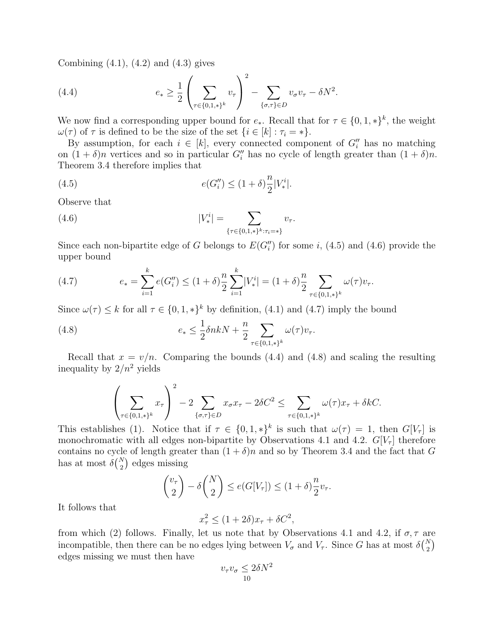Combining  $(4.1)$ ,  $(4.2)$  and  $(4.3)$  gives

<span id="page-9-3"></span>(4.4) 
$$
e_{*} \geq \frac{1}{2} \left( \sum_{\tau \in \{0,1,\ast\}^{k}} v_{\tau} \right)^{2} - \sum_{\{\sigma,\tau\} \in D} v_{\sigma} v_{\tau} - \delta N^{2}.
$$

We now find a corresponding upper bound for  $e_*.$  Recall that for  $\tau \in \{0, 1, *\}^k$ , the weight  $\omega(\tau)$  of  $\tau$  is defined to be the size of the set  $\{i \in [k] : \tau_i = *\}.$ 

By assumption, for each  $i \in [k]$ , every connected component of  $G''_i$  has no matching on  $(1 + \delta)n$  vertices and so in particular  $G''_i$  has no cycle of length greater than  $(1 + \delta)n$ . Theorem [3.4](#page-6-2) therefore implies that

<span id="page-9-0"></span>(4.5) 
$$
e(G_i'') \le (1+\delta)\frac{n}{2}|V_*^i|.
$$

Observe that

<span id="page-9-1"></span>(4.6) 
$$
|V_*^i| = \sum_{\{\tau \in \{0,1,*\}^k : \tau_i = *\}} v_{\tau}.
$$

Since each non-bipartite edge of G belongs to  $E(G_i'')$  for some i, [\(4.5\)](#page-9-0) and [\(4.6\)](#page-9-1) provide the upper bound

<span id="page-9-2"></span>(4.7) 
$$
e_* = \sum_{i=1}^k e(G''_i) \le (1+\delta) \frac{n}{2} \sum_{i=1}^k |V_*^i| = (1+\delta) \frac{n}{2} \sum_{\tau \in \{0,1,\ast\}^k} \omega(\tau) v_\tau.
$$

Since  $\omega(\tau) \leq k$  for all  $\tau \in \{0, 1, *\}^k$  by definition, [\(4.1\)](#page-8-0) and [\(4.7\)](#page-9-2) imply the bound

<span id="page-9-4"></span>(4.8) 
$$
e_* \leq \frac{1}{2} \delta n k N + \frac{n}{2} \sum_{\tau \in \{0,1,\ast\}^k} \omega(\tau) v_{\tau}.
$$

Recall that  $x = v/n$ . Comparing the bounds [\(4.4\)](#page-9-3) and [\(4.8\)](#page-9-4) and scaling the resulting inequality by  $2/n^2$  yields

$$
\left(\sum_{\tau\in\{0,1,\ast\}^k} x_\tau\right)^2 - 2\sum_{\{\sigma,\tau\}\in D} x_\sigma x_\tau - 2\delta C^2 \le \sum_{\tau\in\{0,1,\ast\}^k} \omega(\tau) x_\tau + \delta kC.
$$

This establishes (1). Notice that if  $\tau \in \{0,1,*\}^k$  is such that  $\omega(\tau) = 1$ , then  $G[V_\tau]$  is monochromatic with all edges non-bipartite by Observations [4.1](#page-7-0) and [4.2.](#page-7-1)  $G[V_\tau]$  therefore contains no cycle of length greater than  $(1 + \delta)n$  and so by Theorem [3.4](#page-6-2) and the fact that G has at most  $\delta\binom{N}{2}$  edges missing

$$
\binom{v_\tau}{2} - \delta \binom{N}{2} \le e(G[V_\tau]) \le (1+\delta) \frac{n}{2} v_\tau.
$$

It follows that

$$
x_{\tau}^{2} \le (1+2\delta)x_{\tau} + \delta C^{2},
$$

from which (2) follows. Finally, let us note that by Observations [4.1](#page-7-0) and [4.2,](#page-7-1) if  $\sigma$ ,  $\tau$  are incompatible, then there can be no edges lying between  $V_{\sigma}$  and  $V_{\tau}$ . Since G has at most  $\delta{N \choose 2}$ edges missing we must then have

$$
v_{\tau}v_{\sigma} \le 2\delta N^2
$$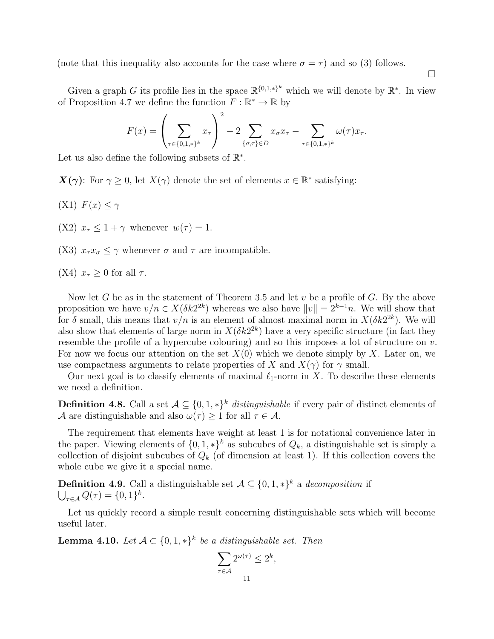(note that this inequality also accounts for the case where  $\sigma = \tau$ ) and so (3) follows.

 $\Box$ 

Given a graph G its profile lies in the space  $\mathbb{R}^{\{0,1,\ast\}}$  which we will denote by  $\mathbb{R}^*$ . In view of Proposition [4.7](#page-8-3) we define the function  $F : \mathbb{R}^* \to \mathbb{R}$  by

$$
F(x) = \left(\sum_{\tau \in \{0,1,\ast\}^k} x_{\tau}\right)^2 - 2 \sum_{\{\sigma,\tau\} \in D} x_{\sigma} x_{\tau} - \sum_{\tau \in \{0,1,\ast\}^k} \omega(\tau) x_{\tau}.
$$

Let us also define the following subsets of  $\mathbb{R}^*$ .

 $\mathbf{X}(\gamma)$ : For  $\gamma \geq 0$ , let  $X(\gamma)$  denote the set of elements  $x \in \mathbb{R}^*$  satisfying:

- (X1)  $F(x) \leq \gamma$
- (X2)  $x_{\tau} \leq 1 + \gamma$  whenever  $w(\tau) = 1$ .
- (X3)  $x_{\tau}x_{\sigma} \leq \gamma$  whenever  $\sigma$  and  $\tau$  are incompatible.
- (X4)  $x_{\tau} \geq 0$  for all  $\tau$ .

Now let G be as in the statement of Theorem [3.5](#page-6-0) and let  $v$  be a profile of G. By the above proposition we have  $v/n \in X(\delta k2^{2k})$  whereas we also have  $||v|| = 2^{k-1}n$ . We will show that for  $\delta$  small, this means that  $v/n$  is an element of almost maximal norm in  $X(\delta k2^{2k})$ . We will also show that elements of large norm in  $X(\delta k2^{2k})$  have a very specific structure (in fact they resemble the profile of a hypercube colouring) and so this imposes a lot of structure on  $v$ . For now we focus our attention on the set  $X(0)$  which we denote simply by X. Later on, we use compactness arguments to relate properties of X and  $X(\gamma)$  for  $\gamma$  small.

Our next goal is to classify elements of maximal  $\ell_1$ -norm in X. To describe these elements we need a definition.

<span id="page-10-1"></span>**Definition 4.8.** Call a set  $A \subseteq \{0, 1, *\}^k$  distinguishable if every pair of distinct elements of A are distinguishable and also  $\omega(\tau) > 1$  for all  $\tau \in A$ .

The requirement that elements have weight at least 1 is for notational convenience later in the paper. Viewing elements of  $\{0, 1, *\}^k$  as subcubes of  $Q_k$ , a distinguishable set is simply a collection of disjoint subcubes of  $Q_k$  (of dimension at least 1). If this collection covers the whole cube we give it a special name.

**Definition 4.9.** Call a distinguishable set  $A \subseteq \{0, 1, *\}^k$  a decomposition if  $\bigcup_{\tau \in \mathcal{A}} Q(\tau) = \{0, 1\}^k.$ 

Let us quickly record a simple result concerning distinguishable sets which will become useful later.

<span id="page-10-0"></span>**Lemma 4.10.** Let  $A \subset \{0,1,*\}^k$  be a distinguishable set. Then

$$
\sum_{\tau \in \mathcal{A}} 2^{\omega(\tau)} \le 2^k
$$

,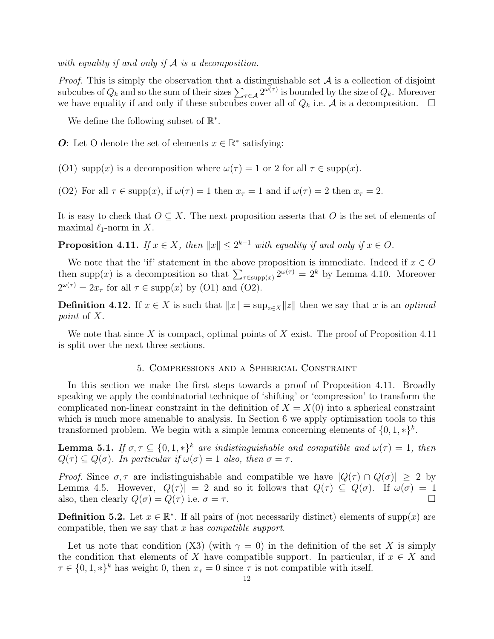with equality if and only if  $A$  is a decomposition.

*Proof.* This is simply the observation that a distinguishable set  $A$  is a collection of disjoint subcubes of  $Q_k$  and so the sum of their sizes  $\sum_{\tau \in A} 2^{\omega(\tau)}$  is bounded by the size of  $Q_k$ . Moreover we have equality if and only if these subcubes cover all of  $Q_k$  i.e. A is a decomposition.  $\Box$ 

We define the following subset of  $\mathbb{R}^*$ .

O: Let O denote the set of elements  $x \in \mathbb{R}^*$  satisfying:

(O1) supp(x) is a decomposition where  $\omega(\tau) = 1$  or 2 for all  $\tau \in \text{supp}(x)$ .

(O2) For all  $\tau \in \text{supp}(x)$ , if  $\omega(\tau) = 1$  then  $x_{\tau} = 1$  and if  $\omega(\tau) = 2$  then  $x_{\tau} = 2$ .

It is easy to check that  $O \subseteq X$ . The next proposition asserts that O is the set of elements of maximal  $\ell_1$ -norm in X.

<span id="page-11-1"></span>**Proposition 4.11.** If  $x \in X$ , then  $||x|| \leq 2^{k-1}$  with equality if and only if  $x \in O$ .

We note that the 'if' statement in the above proposition is immediate. Indeed if  $x \in O$ then supp(x) is a decomposition so that  $\sum_{\tau \in \text{supp}(x)} 2^{\omega(\tau)} = 2^k$  by Lemma [4.10.](#page-10-0) Moreover  $2^{\omega(\tau)} = 2x_{\tau}$  for all  $\tau \in \text{supp}(x)$  by (O1) and (O2).

**Definition 4.12.** If  $x \in X$  is such that  $||x|| = \sup_{z \in X} ||z||$  then we say that x is an *optimal* point of X.

We note that since X is compact, optimal points of X exist. The proof of Proposition [4.11](#page-11-1) is split over the next three sections.

## 5. Compressions and a Spherical Constraint

<span id="page-11-0"></span>In this section we make the first steps towards a proof of Proposition [4.11.](#page-11-1) Broadly speaking we apply the combinatorial technique of 'shifting' or 'compression' to transform the complicated non-linear constraint in the definition of  $X = X(0)$  into a spherical constraint which is much more amenable to analysis. In Section [6](#page-17-0) we apply optimisation tools to this transformed problem. We begin with a simple lemma concerning elements of  $\{0, 1, *\}^k$ .

<span id="page-11-2"></span>**Lemma 5.1.** If  $\sigma, \tau \subseteq \{0, 1, *\}^k$  are indistinguishable and compatible and  $\omega(\tau) = 1$ , then  $Q(\tau) \subseteq Q(\sigma)$ . In particular if  $\omega(\sigma) = 1$  also, then  $\sigma = \tau$ .

Proof. Since  $\sigma, \tau$  are indistinguishable and compatible we have  $|Q(\tau) \cap Q(\sigma)| \geq 2$  by Lemma [4.5.](#page-7-2) However,  $|Q(\tau)| = 2$  and so it follows that  $Q(\tau) \subseteq Q(\sigma)$ . If  $\omega(\sigma) = 1$ also, then clearly  $Q(\sigma) = Q(\tau)$  i.e.  $\sigma = \tau$ .

**Definition 5.2.** Let  $x \in \mathbb{R}^*$ . If all pairs of (not necessarily distinct) elements of supp(x) are compatible, then we say that  $x$  has *compatible support*.

Let us note that condition (X3) (with  $\gamma = 0$ ) in the definition of the set X is simply the condition that elements of X have compatible support. In particular, if  $x \in X$  and  $\tau \in \{0, 1, *\}^k$  has weight 0, then  $x_\tau = 0$  since  $\tau$  is not compatible with itself.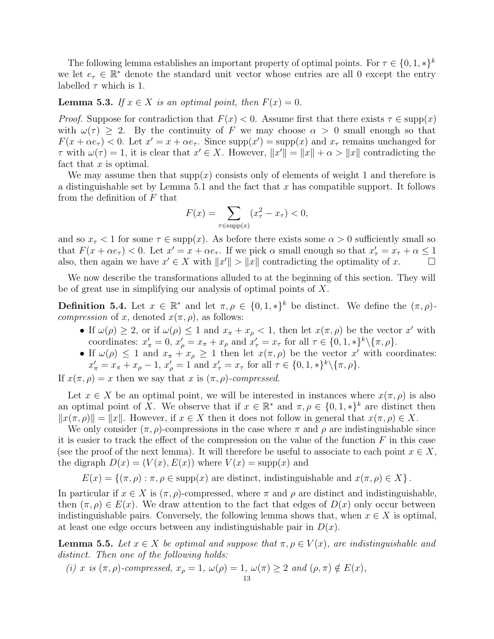The following lemma establishes an important property of optimal points. For  $\tau \in \{0, 1, *\}^k$ we let  $e_{\tau} \in \mathbb{R}^*$  denote the standard unit vector whose entries are all 0 except the entry labelled  $\tau$  which is 1.

## <span id="page-12-0"></span>**Lemma 5.3.** If  $x \in X$  is an optimal point, then  $F(x) = 0$ .

*Proof.* Suppose for contradiction that  $F(x) < 0$ . Assume first that there exists  $\tau \in \text{supp}(x)$ with  $\omega(\tau) > 2$ . By the continuity of F we may choose  $\alpha > 0$  small enough so that  $F(x + \alpha e_{\tau}) < 0$ . Let  $x' = x + \alpha e_{\tau}$ . Since supp $(x') = \text{supp}(x)$  and  $x_{\tau}$  remains unchanged for  $\tau$  with  $\omega(\tau) = 1$ , it is clear that  $x' \in X$ . However,  $||x'|| = ||x|| + \alpha > ||x||$  contradicting the fact that  $x$  is optimal.

We may assume then that  $supp(x)$  consists only of elements of weight 1 and therefore is a distinguishable set by Lemma [5.1](#page-11-2) and the fact that x has compatible support. It follows from the definition of  $F$  that

$$
F(x) = \sum_{\tau \in \text{supp}(x)} (x_{\tau}^2 - x_{\tau}) < 0,
$$

and so  $x_{\tau}$  < 1 for some  $\tau \in \text{supp}(x)$ . As before there exists some  $\alpha > 0$  sufficiently small so that  $F(x + \alpha e_{\tau}) < 0$ . Let  $x' = x + \alpha e_{\tau}$ . If we pick  $\alpha$  small enough so that  $x'_{\tau} = x_{\tau} + \alpha \leq 1$ also, then again we have  $x' \in X$  with  $||x'|| > ||x||$  contradicting the optimality of x.

We now describe the transformations alluded to at the beginning of this section. They will be of great use in simplifying our analysis of optimal points of X.

**Definition 5.4.** Let  $x \in \mathbb{R}^*$  and let  $\pi, \rho \in \{0, 1, *\}^k$  be distinct. We define the  $(\pi, \rho)$ *compression* of x, denoted  $x(\pi, \rho)$ , as follows:

- If  $\omega(\rho) \geq 2$ , or if  $\omega(\rho) \leq 1$  and  $x_{\pi} + x_{\rho} < 1$ , then let  $x(\pi, \rho)$  be the vector x' with coordinates:  $x'_{\pi} = 0$ ,  $x'_{\rho} = x_{\pi} + x_{\rho}$  and  $x'_{\tau} = x_{\tau}$  for all  $\tau \in \{0, 1, *\}^k \setminus {\pi, \rho}$ .
- If  $\omega(\rho) \leq 1$  and  $x_{\pi} + x_{\rho} \geq 1$  then let  $x(\pi, \rho)$  be the vector x' with coordinates:  $x'_{\pi} = x_{\pi} + x_{\rho} - 1$ ,  $x'_{\rho} = 1$  and  $x'_{\tau} = x_{\tau}$  for all  $\tau \in \{0, 1, *\}^k \setminus {\pi, \rho}.$

If  $x(\pi, \rho) = x$  then we say that x is  $(\pi, \rho)$ -compressed.

Let  $x \in X$  be an optimal point, we will be interested in instances where  $x(\pi, \rho)$  is also an optimal point of X. We observe that if  $x \in \mathbb{R}^*$  and  $\pi, \rho \in \{0, 1, *\}^k$  are distinct then  $||x(\pi, \rho)|| = ||x||$ . However, if  $x \in X$  then it does not follow in general that  $x(\pi, \rho) \in X$ .

We only consider  $(\pi, \rho)$ -compressions in the case where  $\pi$  and  $\rho$  are indistinguishable since it is easier to track the effect of the compression on the value of the function  $F$  in this case (see the proof of the next lemma). It will therefore be useful to associate to each point  $x \in X$ , the digraph  $D(x) = (V(x), E(x))$  where  $V(x) = \text{supp}(x)$  and

$$
E(x) = \{ (\pi, \rho) : \pi, \rho \in \text{supp}(x) \text{ are distinct, indistinguishable and } x(\pi, \rho) \in X \}.
$$

In particular if  $x \in X$  is  $(\pi, \rho)$ -compressed, where  $\pi$  and  $\rho$  are distinct and indistinguishable, then  $(\pi, \rho) \in E(x)$ . We draw attention to the fact that edges of  $D(x)$  only occur between indistinguishable pairs. Conversely, the following lemma shows that, when  $x \in X$  is optimal, at least one edge occurs between any indistinguishable pair in  $D(x)$ .

<span id="page-12-1"></span>**Lemma 5.5.** Let  $x \in X$  be optimal and suppose that  $\pi, \rho \in V(x)$ , are indistinguishable and distinct. Then one of the following holds:

(i) x is  $(\pi, \rho)$ -compressed,  $x_{\rho} = 1$ ,  $\omega(\rho) = 1$ ,  $\omega(\pi) \geq 2$  and  $(\rho, \pi) \notin E(x)$ ,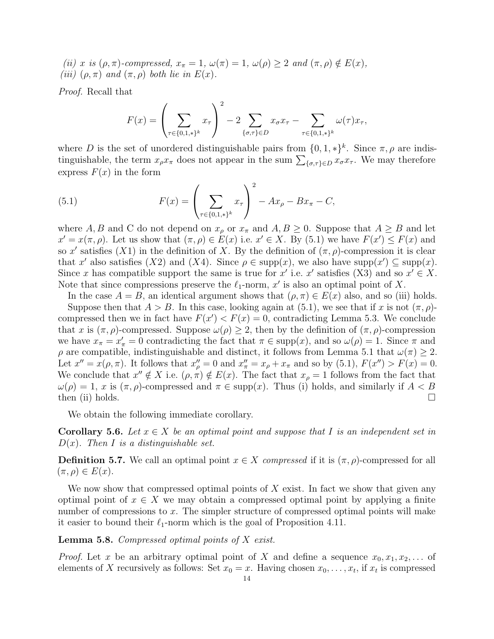(ii) x is  $(\rho, \pi)$ -compressed,  $x_{\pi} = 1$ ,  $\omega(\pi) = 1$ ,  $\omega(\rho) \geq 2$  and  $(\pi, \rho) \notin E(x)$ , (iii)  $(\rho, \pi)$  and  $(\pi, \rho)$  both lie in  $E(x)$ .

Proof. Recall that

$$
F(x) = \left(\sum_{\tau \in \{0,1,\ast\}^k} x_{\tau}\right)^2 - 2 \sum_{\{\sigma,\tau\} \in D} x_{\sigma} x_{\tau} - \sum_{\tau \in \{0,1,\ast\}^k} \omega(\tau) x_{\tau},
$$

where D is the set of unordered distinguishable pairs from  $\{0, 1, *\}^k$ . Since  $\pi, \rho$  are indistinguishable, the term  $x_{\rho}x_{\pi}$  does not appear in the sum  $\sum_{\{\sigma,\tau\}\in D} x_{\sigma}x_{\tau}$ . We may therefore express  $F(x)$  in the form

<span id="page-13-0"></span>(5.1) 
$$
F(x) = \left(\sum_{\tau \in \{0,1,\ast\}^k} x_{\tau}\right)^2 - Ax_{\rho} - Bx_{\pi} - C,
$$

where A, B and C do not depend on  $x_{\rho}$  or  $x_{\pi}$  and  $A, B \ge 0$ . Suppose that  $A \ge B$  and let  $x' = x(\pi, \rho)$ . Let us show that  $(\pi, \rho) \in E(x)$  i.e.  $x' \in X$ . By [\(5.1\)](#page-13-0) we have  $F(x') \leq F(x)$  and so x' satisfies (X1) in the definition of X. By the definition of  $(\pi, \rho)$ -compression it is clear that x' also satisfies (X2) and (X4). Since  $\rho \in \text{supp}(x)$ , we also have  $\text{supp}(x') \subseteq \text{supp}(x)$ . Since x has compatible support the same is true for x' i.e. x' satisfies (X3) and so  $x' \in X$ . Note that since compressions preserve the  $\ell_1$ -norm,  $x'$  is also an optimal point of X.

In the case  $A = B$ , an identical argument shows that  $(\rho, \pi) \in E(x)$  also, and so (iii) holds.

Suppose then that  $A > B$ . In this case, looking again at [\(5.1\)](#page-13-0), we see that if x is not  $(\pi, \rho)$ compressed then we in fact have  $F(x') < F(x) = 0$ , contradicting Lemma [5.3.](#page-12-0) We conclude that x is  $(\pi, \rho)$ -compressed. Suppose  $\omega(\rho) \geq 2$ , then by the definition of  $(\pi, \rho)$ -compression we have  $x_{\pi} = x'_{\pi} = 0$  contradicting the fact that  $\pi \in \text{supp}(x)$ , and so  $\omega(\rho) = 1$ . Since  $\pi$  and  $\rho$  are compatible, indistinguishable and distinct, it follows from Lemma [5.1](#page-11-2) that  $\omega(\pi) \geq 2$ . Let  $x'' = x(\rho, \pi)$ . It follows that  $x''_{\rho} = 0$  and  $x''_{\pi} = x_{\rho} + x_{\pi}$  and so by [\(5.1\)](#page-13-0),  $F(x'') > F(x) = 0$ . We conclude that  $x'' \notin X$  i.e.  $(\rho, \pi) \notin E(x)$ . The fact that  $x_{\rho} = 1$  follows from the fact that  $\omega(\rho) = 1$ , x is  $(\pi, \rho)$ -compressed and  $\pi \in \text{supp}(x)$ . Thus (i) holds, and similarly if  $A < B$ then (ii) holds.  $\square$ 

We obtain the following immediate corollary.

<span id="page-13-1"></span>**Corollary 5.6.** Let  $x \in X$  be an optimal point and suppose that I is an independent set in  $D(x)$ . Then I is a distinguishable set.

**Definition 5.7.** We call an optimal point  $x \in X$  compressed if it is  $(\pi, \rho)$ -compressed for all  $(\pi, \rho) \in E(x)$ .

We now show that compressed optimal points of  $X$  exist. In fact we show that given any optimal point of  $x \in X$  we may obtain a compressed optimal point by applying a finite number of compressions to x. The simpler structure of compressed optimal points will make it easier to bound their  $\ell_1$ -norm which is the goal of Proposition [4.11.](#page-11-1)

<span id="page-13-2"></span>**Lemma 5.8.** Compressed optimal points of  $X$  exist.

*Proof.* Let x be an arbitrary optimal point of X and define a sequence  $x_0, x_1, x_2, \ldots$  of elements of X recursively as follows: Set  $x_0 = x$ . Having chosen  $x_0, \ldots, x_t$ , if  $x_t$  is compressed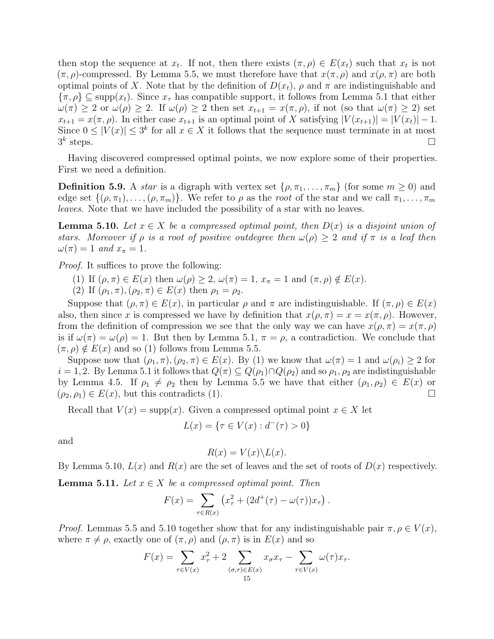then stop the sequence at  $x_t$ . If not, then there exists  $(\pi, \rho) \in E(x_t)$  such that  $x_t$  is not  $(\pi, \rho)$ -compressed. By Lemma [5.5,](#page-12-1) we must therefore have that  $x(\pi, \rho)$  and  $x(\rho, \pi)$  are both optimal points of X. Note that by the definition of  $D(x_t)$ ,  $\rho$  and  $\pi$  are indistinguishable and  $\{\pi, \rho\} \subseteq \text{supp}(x_t)$ . Since  $x_{\tau}$  has compatible support, it follows from Lemma [5.1](#page-11-2) that either  $\omega(\pi) \geq 2$  or  $\omega(\rho) \geq 2$ . If  $\omega(\rho) \geq 2$  then set  $x_{t+1} = x(\pi, \rho)$ , if not (so that  $\omega(\pi) \geq 2$ ) set  $x_{t+1} = x(\pi, \rho)$ . In either case  $x_{t+1}$  is an optimal point of X satisfying  $|V(x_{t+1})| = |V(x_t)| - 1$ . Since  $0 \leq |V(x)| \leq 3^k$  for all  $x \in X$  it follows that the sequence must terminate in at most  $3^k$ steps.  $\square$ 

Having discovered compressed optimal points, we now explore some of their properties. First we need a definition.

**Definition 5.9.** A *star* is a digraph with vertex set  $\{\rho, \pi_1, \ldots, \pi_m\}$  (for some  $m \geq 0$ ) and edge set  $\{(\rho, \pi_1), \ldots, (\rho, \pi_m)\}\$ . We refer to  $\rho$  as the root of the star and we call  $\pi_1, \ldots, \pi_m$ leaves. Note that we have included the possibility of a star with no leaves.

<span id="page-14-0"></span>**Lemma 5.10.** Let  $x \in X$  be a compressed optimal point, then  $D(x)$  is a disjoint union of stars. Moreover if  $\rho$  is a root of positive outdegree then  $\omega(\rho) \geq 2$  and if  $\pi$  is a leaf then  $\omega(\pi) = 1 \text{ and } x_{\pi} = 1.$ 

Proof. It suffices to prove the following:

- (1) If  $(\rho, \pi) \in E(x)$  then  $\omega(\rho) \geq 2$ ,  $\omega(\pi) = 1$ ,  $x_{\pi} = 1$  and  $(\pi, \rho) \notin E(x)$ .
- (2) If  $(\rho_1, \pi), (\rho_2, \pi) \in E(x)$  then  $\rho_1 = \rho_2$ .

Suppose that  $(\rho, \pi) \in E(x)$ , in particular  $\rho$  and  $\pi$  are indistinguishable. If  $(\pi, \rho) \in E(x)$ also, then since x is compressed we have by definition that  $x(\rho, \pi) = x = x(\pi, \rho)$ . However, from the definition of compression we see that the only way we can have  $x(\rho, \pi) = x(\pi, \rho)$ is if  $\omega(\pi) = \omega(\rho) = 1$ . But then by Lemma [5.1,](#page-11-2)  $\pi = \rho$ , a contradiction. We conclude that  $(\pi, \rho) \notin E(x)$  and so (1) follows from Lemma [5.5.](#page-12-1)

Suppose now that  $(\rho_1, \pi), (\rho_2, \pi) \in E(x)$ . By (1) we know that  $\omega(\pi) = 1$  and  $\omega(\rho_i) \geq 2$  for  $i = 1, 2$ . By Lemma [5.1](#page-11-2) it follows that  $Q(\pi) \subseteq Q(\rho_1) \cap Q(\rho_2)$  and so  $\rho_1, \rho_2$  are indistinguishable by Lemma [4.5.](#page-7-2) If  $\rho_1 \neq \rho_2$  then by Lemma [5.5](#page-12-1) we have that either  $(\rho_1, \rho_2) \in E(x)$  or  $(\rho_2, \rho_1) \in E(x)$ , but this contradicts (1).

Recall that  $V(x) = \text{supp}(x)$ . Given a compressed optimal point  $x \in X$  let

$$
L(x) = \{ \tau \in V(x) : d^-(\tau) > 0 \}
$$

and

$$
R(x) = V(x) \backslash L(x).
$$

By Lemma [5.10,](#page-14-0)  $L(x)$  and  $R(x)$  are the set of leaves and the set of roots of  $D(x)$  respectively.

<span id="page-14-1"></span>**Lemma 5.11.** Let  $x \in X$  be a compressed optimal point. Then

$$
F(x) = \sum_{\tau \in R(x)} (x_{\tau}^{2} + (2d^{+}(\tau) - \omega(\tau))x_{\tau}).
$$

*Proof.* Lemmas [5.5](#page-12-1) and [5.10](#page-14-0) together show that for any indistinguishable pair  $\pi, \rho \in V(x)$ , where  $\pi \neq \rho$ , exactly one of  $(\pi, \rho)$  and  $(\rho, \pi)$  is in  $E(x)$  and so

$$
F(x) = \sum_{\tau \in V(x)} x_{\tau}^2 + 2 \sum_{(\sigma,\tau) \in E(x)} x_{\sigma} x_{\tau} - \sum_{\tau \in V(x)} \omega(\tau) x_{\tau}.
$$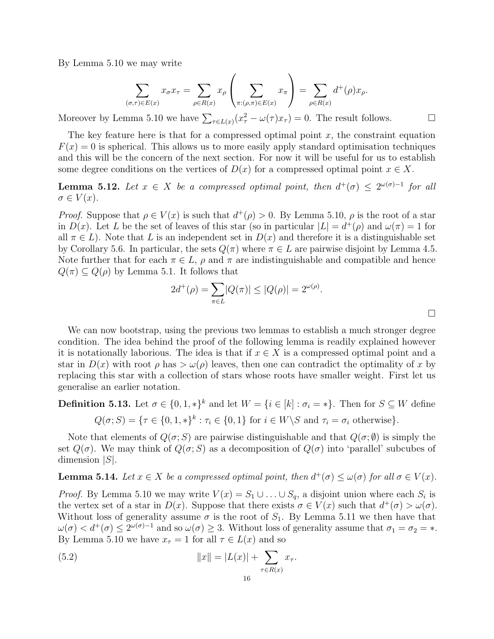By Lemma [5.10](#page-14-0) we may write

$$
\sum_{(\sigma,\tau)\in E(x)} x_{\sigma} x_{\tau} = \sum_{\rho\in R(x)} x_{\rho} \left( \sum_{\pi: (\rho,\pi)\in E(x)} x_{\pi} \right) = \sum_{\rho\in R(x)} d^+(\rho) x_{\rho}.
$$

Moreover by Lemma [5.10](#page-14-0) we have  $\sum_{\tau \in L(x)} (x_{\tau}^2 - \omega(\tau)x_{\tau}) = 0$ . The result follows.

The key feature here is that for a compressed optimal point  $x$ , the constraint equation  $F(x) = 0$  is spherical. This allows us to more easily apply standard optimisation techniques and this will be the concern of the next section. For now it will be useful for us to establish some degree conditions on the vertices of  $D(x)$  for a compressed optimal point  $x \in X$ .

**Lemma 5.12.** Let  $x \in X$  be a compressed optimal point, then  $d^+(\sigma) \leq 2^{\omega(\sigma)-1}$  for all  $\sigma \in V(x)$ .

*Proof.* Suppose that  $\rho \in V(x)$  is such that  $d^+(\rho) > 0$ . By Lemma [5.10,](#page-14-0)  $\rho$  is the root of a star in  $D(x)$ . Let L be the set of leaves of this star (so in particular  $|L| = d^+(\rho)$  and  $\omega(\pi) = 1$  for all  $\pi \in L$ ). Note that L is an independent set in  $D(x)$  and therefore it is a distinguishable set by Corollary [5.6.](#page-13-1) In particular, the sets  $Q(\pi)$  where  $\pi \in L$  are pairwise disjoint by Lemma [4.5.](#page-7-2) Note further that for each  $\pi \in L$ ,  $\rho$  and  $\pi$  are indistinguishable and compatible and hence  $Q(\pi) \subseteq Q(\rho)$  by Lemma [5.1.](#page-11-2) It follows that

$$
2d^{+}(\rho) = \sum_{\pi \in L} |Q(\pi)| \le |Q(\rho)| = 2^{\omega(\rho)}.
$$

We can now bootstrap, using the previous two lemmas to establish a much stronger degree condition. The idea behind the proof of the following lemma is readily explained however it is notationally laborious. The idea is that if  $x \in X$  is a compressed optimal point and a star in  $D(x)$  with root  $\rho$  has  $>\omega(\rho)$  leaves, then one can contradict the optimality of x by replacing this star with a collection of stars whose roots have smaller weight. First let us generalise an earlier notation.

**Definition 5.13.** Let  $\sigma \in \{0, 1, *\}^k$  and let  $W = \{i \in [k] : \sigma_i = *\}.$  Then for  $S \subseteq W$  define  $Q(\sigma; S) = {\tau \in \{0, 1, *\}}^k : \tau_i \in \{0, 1\}$  for  $i \in W \backslash S$  and  $\tau_i = \sigma_i$  otherwise.

Note that elements of  $Q(\sigma; S)$  are pairwise distinguishable and that  $Q(\sigma; \emptyset)$  is simply the set  $Q(\sigma)$ . We may think of  $Q(\sigma; S)$  as a decomposition of  $Q(\sigma)$  into 'parallel' subcubes of dimension  $|S|$ .

<span id="page-15-1"></span>**Lemma 5.14.** Let  $x \in X$  be a compressed optimal point, then  $d^+(\sigma) \leq \omega(\sigma)$  for all  $\sigma \in V(x)$ .

*Proof.* By Lemma [5.10](#page-14-0) we may write  $V(x) = S_1 \cup ... \cup S_q$ , a disjoint union where each  $S_i$  is the vertex set of a star in  $D(x)$ . Suppose that there exists  $\sigma \in V(x)$  such that  $d^+(\sigma) > \omega(\sigma)$ . Without loss of generality assume  $\sigma$  is the root of  $S_1$ . By Lemma [5.11](#page-14-1) we then have that  $\omega(\sigma) < d^+(\sigma) \leq 2^{\omega(\sigma)-1}$  and so  $\omega(\sigma) \geq 3$ . Without loss of generality assume that  $\sigma_1 = \sigma_2 = *$ . By Lemma [5.10](#page-14-0) we have  $x_{\tau} = 1$  for all  $\tau \in L(x)$  and so

<span id="page-15-0"></span>(5.2) 
$$
||x|| = |L(x)| + \sum_{\tau \in R(x)} x_{\tau}.
$$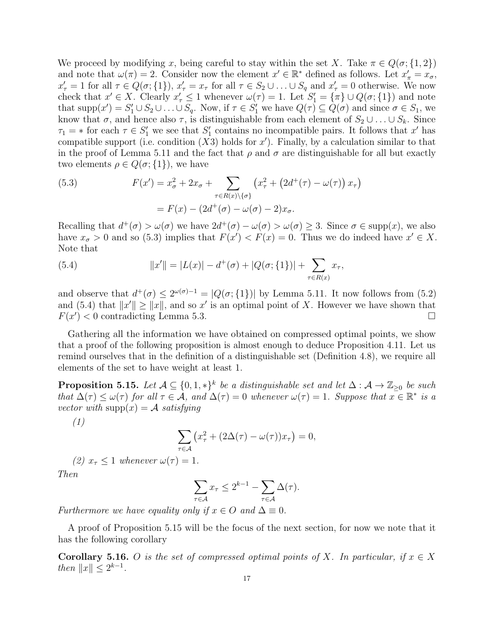We proceed by modifying x, being careful to stay within the set X. Take  $\pi \in Q(\sigma;\{1,2\})$ and note that  $\omega(\pi) = 2$ . Consider now the element  $x' \in \mathbb{R}^*$  defined as follows. Let  $x'_\pi = x_\sigma$ ,  $x'_{\tau} = 1$  for all  $\tau \in Q(\sigma; \{1\}), x'_{\tau} = x_{\tau}$  for all  $\tau \in S_2 \cup ... \cup S_q$  and  $x'_{\tau} = 0$  otherwise. We now check that  $x' \in X$ . Clearly  $x'_{\tau} \leq 1$  whenever  $\omega(\tau) = 1$ . Let  $S'_{1} = {\pi \} \cup Q(\sigma; \{1\})$  and note that  $\text{supp}(x') = S'_1 \cup S_2 \cup \ldots \cup S_q$ . Now, if  $\tau \in S'_1$  we have  $Q(\tau) \subseteq Q(\sigma)$  and since  $\sigma \in S_1$ , we know that  $\sigma$ , and hence also  $\tau$ , is distinguishable from each element of  $S_2 \cup \ldots \cup S_k$ . Since  $\tau_1 = *$  for each  $\tau \in S'_1$  we see that  $S'_1$  contains no incompatible pairs. It follows that x' has compatible support (i.e. condition  $(X3)$  holds for x'). Finally, by a calculation similar to that in the proof of Lemma [5.11](#page-14-1) and the fact that  $\rho$  and  $\sigma$  are distinguishable for all but exactly two elements  $\rho \in Q(\sigma;\{1\})$ , we have

<span id="page-16-0"></span>(5.3) 
$$
F(x') = x_{\sigma}^2 + 2x_{\sigma} + \sum_{\tau \in R(x) \setminus \{\sigma\}} \left( x_{\tau}^2 + \left( 2d^+(\tau) - \omega(\tau) \right) x_{\tau} \right)
$$

$$
= F(x) - \left( 2d^+(\sigma) - \omega(\sigma) - 2 \right) x_{\sigma}.
$$

Recalling that  $d^+(\sigma) > \omega(\sigma)$  we have  $2d^+(\sigma) - \omega(\sigma) > \omega(\sigma) \geq 3$ . Since  $\sigma \in \text{supp}(x)$ , we also have  $x_{\sigma} > 0$  and so [\(5.3\)](#page-16-0) implies that  $F(x') < F(x) = 0$ . Thus we do indeed have  $x' \in X$ . Note that

<span id="page-16-1"></span>(5.4) 
$$
||x'|| = |L(x)| - d^{+}(\sigma) + |Q(\sigma; \{1\})| + \sum_{\tau \in R(x)} x_{\tau},
$$

and observe that  $d^+(\sigma) \leq 2^{\omega(\sigma)-1} = |Q(\sigma;\{1\})|$  by Lemma [5.11.](#page-14-1) It now follows from [\(5.2\)](#page-15-0) and [\(5.4\)](#page-16-1) that  $||x'|| \ge ||x||$ , and so x' is an optimal point of X. However we have shown that  $F(x') < 0$  contradicting Lemma [5.3.](#page-12-0)

Gathering all the information we have obtained on compressed optimal points, we show that a proof of the following proposition is almost enough to deduce Proposition [4.11.](#page-11-1) Let us remind ourselves that in the definition of a distinguishable set (Definition [4.8\)](#page-10-1), we require all elements of the set to have weight at least 1.

<span id="page-16-2"></span>**Proposition 5.15.** Let  $A \subseteq \{0,1,*\}^k$  be a distinguishable set and let  $\Delta : A \to \mathbb{Z}_{\geq 0}$  be such that  $\Delta(\tau) \leq \omega(\tau)$  for all  $\tau \in \mathcal{A}$ , and  $\Delta(\tau) = 0$  whenever  $\omega(\tau) = 1$ . Suppose that  $x \in \mathbb{R}^*$  is a vector with  $\text{supp}(x) = A$  satisfying

(1)

$$
\sum_{\tau \in \mathcal{A}} \left( x_{\tau}^2 + (2\Delta(\tau) - \omega(\tau)) x_{\tau} \right) = 0,
$$

(2) 
$$
x_{\tau} \leq 1
$$
 whenever  $\omega(\tau) = 1$ .

Then

$$
\sum_{\tau \in \mathcal{A}} x_{\tau} \le 2^{k-1} - \sum_{\tau \in \mathcal{A}} \Delta(\tau).
$$

Furthermore we have equality only if  $x \in O$  and  $\Delta \equiv 0$ .

A proof of Proposition [5.15](#page-16-2) will be the focus of the next section, for now we note that it has the following corollary

<span id="page-16-3"></span>Corollary 5.16. O is the set of compressed optimal points of X. In particular, if  $x \in X$ then  $||x|| \leq 2^{k-1}$ .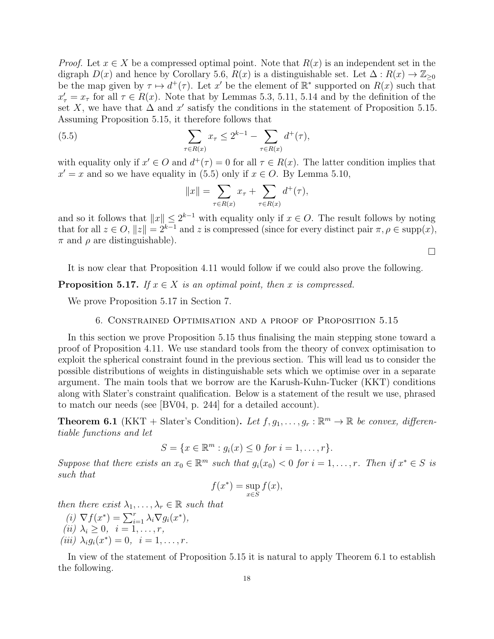*Proof.* Let  $x \in X$  be a compressed optimal point. Note that  $R(x)$  is an independent set in the digraph  $D(x)$  and hence by Corollary [5.6,](#page-13-1)  $R(x)$  is a distinguishable set. Let  $\Delta: R(x) \to \mathbb{Z}_{\geq 0}$ be the map given by  $\tau \mapsto d^+(\tau)$ . Let x' be the element of  $\mathbb{R}^*$  supported on  $R(x)$  such that  $x'_{\tau} = x_{\tau}$  for all  $\tau \in R(x)$ . Note that by Lemmas [5.3,](#page-12-0) [5.11,](#page-14-1) [5.14](#page-15-1) and by the definition of the set X, we have that  $\Delta$  and x' satisfy the conditions in the statement of Proposition [5.15.](#page-16-2) Assuming Proposition [5.15,](#page-16-2) it therefore follows that

<span id="page-17-1"></span>(5.5) 
$$
\sum_{\tau \in R(x)} x_{\tau} \leq 2^{k-1} - \sum_{\tau \in R(x)} d^{+}(\tau),
$$

with equality only if  $x' \in O$  and  $d^+(\tau) = 0$  for all  $\tau \in R(x)$ . The latter condition implies that  $x' = x$  and so we have equality in [\(5.5\)](#page-17-1) only if  $x \in O$ . By Lemma [5.10,](#page-14-0)

$$
||x|| = \sum_{\tau \in R(x)} x_{\tau} + \sum_{\tau \in R(x)} d^{+}(\tau),
$$

and so it follows that  $||x|| \leq 2^{k-1}$  with equality only if  $x \in O$ . The result follows by noting that for all  $z \in O$ ,  $||z|| = 2^{k-1}$  and z is compressed (since for every distinct pair  $\pi, \rho \in \text{supp}(x)$ ,  $\pi$  and  $\rho$  are distinguishable).

 $\Box$ 

It is now clear that Proposition [4.11](#page-11-1) would follow if we could also prove the following.

<span id="page-17-2"></span>**Proposition 5.17.** If  $x \in X$  is an optimal point, then x is compressed.

<span id="page-17-0"></span>We prove Proposition [5.17](#page-17-2) in Section [7.](#page-21-0)

## 6. Constrained Optimisation and a proof of Proposition [5.15](#page-16-2)

In this section we prove Proposition [5.15](#page-16-2) thus finalising the main stepping stone toward a proof of Proposition [4.11.](#page-11-1) We use standard tools from the theory of convex optimisation to exploit the spherical constraint found in the previous section. This will lead us to consider the possible distributions of weights in distinguishable sets which we optimise over in a separate argument. The main tools that we borrow are the Karush-Kuhn-Tucker (KKT) conditions along with Slater's constraint qualification. Below is a statement of the result we use, phrased to match our needs (see [\[BV04,](#page-35-7) p. 244] for a detailed account).

<span id="page-17-3"></span>**Theorem 6.1** (KKT + Slater's Condition). Let  $f, g_1, \ldots, g_r : \mathbb{R}^m \to \mathbb{R}$  be convex, differentiable functions and let

$$
S = \{x \in \mathbb{R}^m : g_i(x) \le 0 \text{ for } i = 1, \dots, r\}.
$$

Suppose that there exists an  $x_0 \in \mathbb{R}^m$  such that  $g_i(x_0) < 0$  for  $i = 1, \ldots, r$ . Then if  $x^* \in S$  is such that

$$
f(x^*) = \sup_{x \in S} f(x),
$$

then there exist  $\lambda_1, \ldots, \lambda_r \in \mathbb{R}$  such that

- (i)  $\nabla f(x^*) = \sum_{i=1}^r \lambda_i \nabla g_i(x^*),$ (ii)  $\lambda_i \geq 0$ ,  $i = 1, \ldots, r$ ,
- (*iii*)  $\lambda_i g_i(x^*) = 0, \ \ i = 1, \dots, r.$

In view of the statement of Proposition [5.15](#page-16-2) it is natural to apply Theorem [6.1](#page-17-3) to establish the following.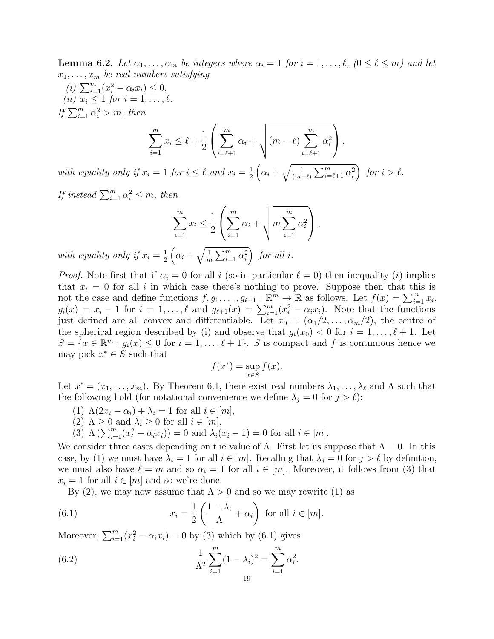<span id="page-18-2"></span>**Lemma 6.2.** Let  $\alpha_1, \ldots, \alpha_m$  be integers where  $\alpha_i = 1$  for  $i = 1, \ldots, \ell, (0 \leq \ell \leq m)$  and let  $x_1, \ldots, x_m$  be real numbers satisfying

(*i*)  $\sum_{i=1}^{m} (x_i^2 - \alpha_i x_i) \leq 0$ , (*ii*)  $x_i \leq 1$  for  $i = 1, \ldots, \ell$ . If  $\sum_{i=1}^m \alpha_i^2 > m$ , then

$$
\sum_{i=1}^{m} x_i \leq \ell + \frac{1}{2} \left( \sum_{i=\ell+1}^{m} \alpha_i + \sqrt{(m-\ell) \sum_{i=\ell+1}^{m} \alpha_i^2} \right),
$$

with equality only if  $x_i = 1$  for  $i \leq \ell$  and  $x_i = \frac{1}{2}$  $\frac{1}{2}\left(\alpha_i+\sqrt{\frac{1}{(m-\ell)}\sum_{i=\ell+1}^m\alpha_i^2}\right)$  for  $i>\ell$ .

If instead  $\sum_{i=1}^{m} \alpha_i^2 \leq m$ , then

$$
\sum_{i=1}^{m} x_i \leq \frac{1}{2} \left( \sum_{i=1}^{m} \alpha_i + \sqrt{m \sum_{i=1}^{m} \alpha_i^2} \right),
$$

with equality only if  $x_i = \frac{1}{2}$  $\frac{1}{2}\left(\alpha_i+\sqrt{\frac{1}{m}}\right)$  $\frac{1}{m}\sum_{i=1}^{m}\alpha_i^2$  for all i.

*Proof.* Note first that if  $\alpha_i = 0$  for all i (so in particular  $\ell = 0$ ) then inequality (i) implies that  $x_i = 0$  for all i in which case there's nothing to prove. Suppose then that this is not the case and define functions  $f, g_1, \ldots, g_{\ell+1} : \mathbb{R}^m \to \mathbb{R}$  as follows. Let  $f(x) = \sum_{i=1}^m x_i$ ,  $g_i(x) = x_i - 1$  for  $i = 1, \ldots, \ell$  and  $g_{\ell+1}(x) = \sum_{i=1}^m (x_i^2 - \alpha_i x_i)$ . Note that the functions just defined are all convex and differentiable. Let  $x_0 = (\alpha_1/2, \ldots, \alpha_m/2)$ , the centre of the spherical region described by (i) and observe that  $g_i(x_0) < 0$  for  $i = 1, \ldots, \ell + 1$ . Let  $S = \{x \in \mathbb{R}^m : g_i(x) \leq 0 \text{ for } i = 1, \ldots, \ell + 1\}.$  S is compact and f is continuous hence we may pick  $x^* \in S$  such that

$$
f(x^*) = \sup_{x \in S} f(x).
$$

Let  $x^* = (x_1, \ldots, x_m)$ . By Theorem [6.1,](#page-17-3) there exist real numbers  $\lambda_1, \ldots, \lambda_\ell$  and  $\Lambda$  such that the following hold (for notational convenience we define  $\lambda_j = 0$  for  $j > \ell$ ):

- (1)  $\Lambda(2x_i \alpha_i) + \lambda_i = 1$  for all  $i \in [m],$
- (2)  $\Lambda \geq 0$  and  $\lambda_i \geq 0$  for all  $i \in [m],$
- (3)  $\Lambda(\sum_{i=1}^{m}(x_i^2 \alpha_i x_i)) = 0$  and  $\lambda_i(x_i 1) = 0$  for all  $i \in [m]$ .

We consider three cases depending on the value of  $\Lambda$ . First let us suppose that  $\Lambda = 0$ . In this case, by (1) we must have  $\lambda_i = 1$  for all  $i \in [m]$ . Recalling that  $\lambda_j = 0$  for  $j > \ell$  by definition, we must also have  $\ell = m$  and so  $\alpha_i = 1$  for all  $i \in [m]$ . Moreover, it follows from (3) that  $x_i = 1$  for all  $i \in [m]$  and so we're done.

By (2), we may now assume that  $\Lambda > 0$  and so we may rewrite (1) as

<span id="page-18-0"></span>(6.1) 
$$
x_i = \frac{1}{2} \left( \frac{1 - \lambda_i}{\Lambda} + \alpha_i \right) \text{ for all } i \in [m].
$$

Moreover,  $\sum_{i=1}^{m} (x_i^2 - \alpha_i x_i) = 0$  by (3) which by [\(6.1\)](#page-18-0) gives

<span id="page-18-1"></span>(6.2) 
$$
\frac{1}{\Lambda^2} \sum_{i=1}^m (1 - \lambda_i)^2 = \sum_{i=1}^m \alpha_i^2.
$$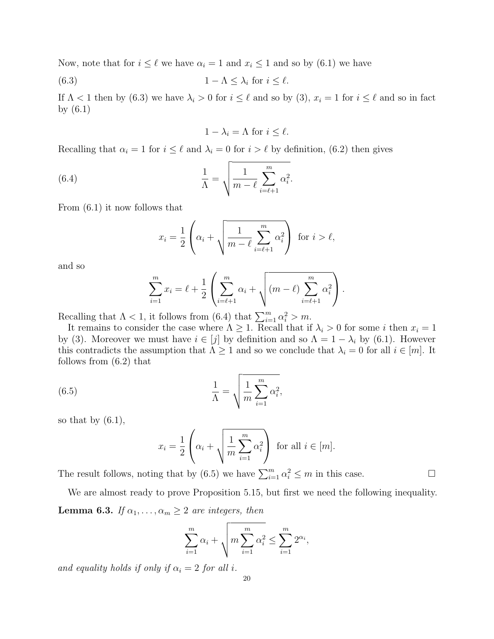Now, note that for  $i \leq \ell$  we have  $\alpha_i = 1$  and  $x_i \leq 1$  and so by [\(6.1\)](#page-18-0) we have

<span id="page-19-0"></span>(6.3) 
$$
1 - \Lambda \leq \lambda_i \text{ for } i \leq \ell.
$$

If  $\Lambda$  < 1 then by [\(6.3\)](#page-19-0) we have  $\lambda_i > 0$  for  $i \leq \ell$  and so by (3),  $x_i = 1$  for  $i \leq \ell$  and so in fact by [\(6.1\)](#page-18-0)

$$
1 - \lambda_i = \Lambda \text{ for } i \le \ell.
$$

Recalling that  $\alpha_i = 1$  for  $i \leq \ell$  and  $\lambda_i = 0$  for  $i > \ell$  by definition, [\(6.2\)](#page-18-1) then gives

<span id="page-19-1"></span>(6.4) 
$$
\frac{1}{\Lambda} = \sqrt{\frac{1}{m-\ell} \sum_{i=\ell+1}^{m} \alpha_i^2}.
$$

From [\(6.1\)](#page-18-0) it now follows that

$$
x_i = \frac{1}{2} \left( \alpha_i + \sqrt{\frac{1}{m - \ell} \sum_{i = \ell + 1}^m \alpha_i^2} \right) \text{ for } i > \ell,
$$

and so

$$
\sum_{i=1}^{m} x_i = \ell + \frac{1}{2} \left( \sum_{i=\ell+1}^{m} \alpha_i + \sqrt{(m-\ell) \sum_{i=\ell+1}^{m} \alpha_i^2} \right).
$$

Recalling that  $\Lambda < 1$ , it follows from [\(6.4\)](#page-19-1) that  $\sum_{i=1}^{m} \alpha_i^2 > m$ .

It remains to consider the case where  $\Lambda \geq 1$ . Recall that if  $\lambda_i > 0$  for some i then  $x_i = 1$ by (3). Moreover we must have  $i \in [j]$  by definition and so  $\Lambda = 1 - \lambda_i$  by [\(6.1\)](#page-18-0). However this contradicts the assumption that  $\Lambda \geq 1$  and so we conclude that  $\lambda_i = 0$  for all  $i \in [m]$ . It follows from [\(6.2\)](#page-18-1) that

<span id="page-19-2"></span>(6.5) 
$$
\frac{1}{\Lambda} = \sqrt{\frac{1}{m} \sum_{i=1}^{m} \alpha_i^2},
$$

so that by  $(6.1)$ ,

$$
x_i = \frac{1}{2} \left( \alpha_i + \sqrt{\frac{1}{m} \sum_{i=1}^m \alpha_i^2} \right) \text{ for all } i \in [m].
$$

The result follows, noting that by [\(6.5\)](#page-19-2) we have  $\sum_{i=1}^{m} \alpha_i^2 \leq m$  in this case.

<span id="page-19-3"></span>We are almost ready to prove Proposition [5.15,](#page-16-2) but first we need the following inequality. **Lemma 6.3.** If  $\alpha_1, \ldots, \alpha_m \geq 2$  are integers, then

$$
\sum_{i=1}^{m} \alpha_i + \sqrt{m \sum_{i=1}^{m} \alpha_i^2} \le \sum_{i=1}^{m} 2^{\alpha_i},
$$

and equality holds if only if  $\alpha_i = 2$  for all i.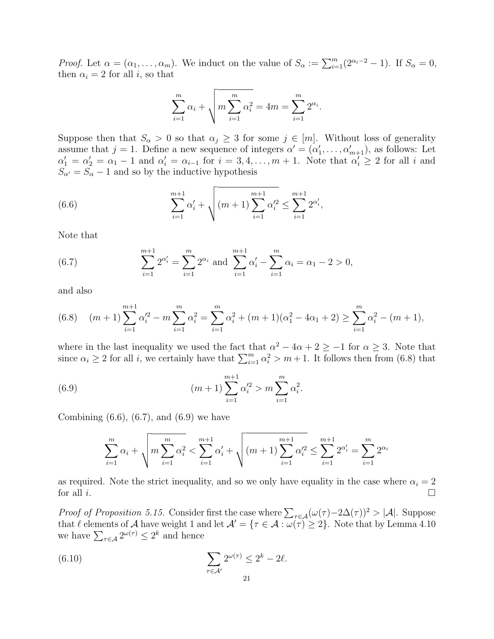*Proof.* Let  $\alpha = (\alpha_1, \ldots, \alpha_m)$ . We induct on the value of  $S_{\alpha} := \sum_{i=1}^{m} (2^{\alpha_i - 2} - 1)$ . If  $S_{\alpha} = 0$ , then  $\alpha_i = 2$  for all i, so that

$$
\sum_{i=1}^{m} \alpha_i + \sqrt{m \sum_{i=1}^{m} \alpha_i^2} = 4m = \sum_{i=1}^{m} 2^{\alpha_i}.
$$

Suppose then that  $S_\alpha > 0$  so that  $\alpha_j \geq 3$  for some  $j \in [m]$ . Without loss of generality assume that  $j = 1$ . Define a new sequence of integers  $\alpha' = (\alpha'_1, \dots, \alpha'_{m+1})$ , as follows: Let  $\alpha'_1 = \alpha'_2 = \alpha_1 - 1$  and  $\alpha'_i = \alpha_{i-1}$  for  $i = 3, 4, \ldots, m + 1$ . Note that  $\alpha'_i \geq 2$  for all i and  $S_{\alpha'} = S_{\alpha} - 1$  and so by the inductive hypothesis

<span id="page-20-1"></span>(6.6) 
$$
\sum_{i=1}^{m+1} \alpha'_i + \sqrt{(m+1) \sum_{i=1}^{m+1} \alpha'^2_i} \le \sum_{i=1}^{m+1} 2^{\alpha'_i},
$$

Note that

<span id="page-20-2"></span>(6.7) 
$$
\sum_{i=1}^{m+1} 2^{\alpha'_i} = \sum_{i=1}^m 2^{\alpha_i} \text{ and } \sum_{i=1}^{m+1} \alpha'_i - \sum_{i=1}^m \alpha_i = \alpha_1 - 2 > 0,
$$

and also

<span id="page-20-0"></span>
$$
(6.8) \quad (m+1)\sum_{i=1}^{m+1} \alpha_i'^2 - m \sum_{i=1}^m \alpha_i^2 = \sum_{i=1}^m \alpha_i^2 + (m+1)(\alpha_1^2 - 4\alpha_1 + 2) \ge \sum_{i=1}^m \alpha_i^2 - (m+1),
$$

where in the last inequality we used the fact that  $\alpha^2 - 4\alpha + 2 \ge -1$  for  $\alpha \ge 3$ . Note that since  $\alpha_i \geq 2$  for all i, we certainly have that  $\sum_{i=1}^{m} \alpha_i^2 > m+1$ . It follows then from [\(6.8\)](#page-20-0) that

<span id="page-20-3"></span>(6.9) 
$$
(m+1)\sum_{i=1}^{m+1}\alpha_i'^2 > m\sum_{i=1}^m\alpha_i^2.
$$

Combining  $(6.6)$ ,  $(6.7)$ , and  $(6.9)$  we have

$$
\sum_{i=1}^{m} \alpha_i + \sqrt{m \sum_{i=1}^{m} \alpha_i^2} < \sum_{i=1}^{m+1} \alpha_i' + \sqrt{(m+1) \sum_{i=1}^{m+1} \alpha_i'^2} \le \sum_{i=1}^{m+1} 2^{\alpha_i'} = \sum_{i=1}^{m} 2^{\alpha_i}
$$

as required. Note the strict inequality, and so we only have equality in the case where  $\alpha_i = 2$ for all  $i$ .

*Proof of Proposition [5.15.](#page-16-2)* Consider first the case where  $\sum_{\tau \in A} (\omega(\tau) - 2\Delta(\tau))^2 > |\mathcal{A}|$ . Suppose that  $\ell$  elements of A have weight 1 and let  $\mathcal{A}' = {\tau \in \mathcal{A} : \omega(\tau) \geq 2}$ . Note that by Lemma [4.10](#page-10-0) we have  $\sum_{\tau \in \mathcal{A}} 2^{\omega(\tau)} \leq 2^k$  and hence

<span id="page-20-4"></span>(6.10) 
$$
\sum_{\tau \in \mathcal{A}'} 2^{\omega(\tau)} \leq 2^k - 2\ell.
$$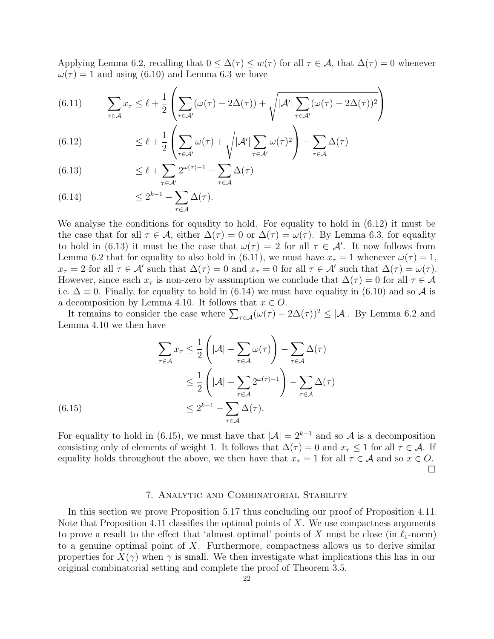Applying Lemma [6.2,](#page-18-2) recalling that  $0 \leq \Delta(\tau) \leq w(\tau)$  for all  $\tau \in \mathcal{A}$ , that  $\Delta(\tau) = 0$  whenever  $\omega(\tau) = 1$  and using [\(6.10\)](#page-20-4) and Lemma [6.3](#page-19-3) we have

<span id="page-21-3"></span>(6.11) 
$$
\sum_{\tau \in \mathcal{A}} x_{\tau} \leq \ell + \frac{1}{2} \left( \sum_{\tau \in \mathcal{A}'} (\omega(\tau) - 2\Delta(\tau)) + \sqrt{|\mathcal{A}'| \sum_{\tau \in \mathcal{A}'} (\omega(\tau) - 2\Delta(\tau))^2} \right)
$$

<span id="page-21-1"></span>(6.12) 
$$
\leq \ell + \frac{1}{2} \left( \sum_{\tau \in \mathcal{A}'} \omega(\tau) + \sqrt{|\mathcal{A}'| \sum_{\tau \in \mathcal{A}'} \omega(\tau)^2} \right) - \sum_{\tau \in \mathcal{A}} \Delta(\tau)
$$

<span id="page-21-2"></span>(6.13) 
$$
\leq \ell + \sum_{\tau \in \mathcal{A}'} 2^{\omega(\tau)-1} - \sum_{\tau \in \mathcal{A}} \Delta(\tau)
$$

<span id="page-21-4"></span>(6.14) 
$$
\leq 2^{k-1} - \sum_{\tau \in \mathcal{A}} \Delta(\tau).
$$

We analyse the conditions for equality to hold. For equality to hold in [\(6.12\)](#page-21-1) it must be the case that for all  $\tau \in \mathcal{A}$ , either  $\Delta(\tau) = 0$  or  $\Delta(\tau) = \omega(\tau)$ . By Lemma [6.3,](#page-19-3) for equality to hold in [\(6.13\)](#page-21-2) it must be the case that  $\omega(\tau) = 2$  for all  $\tau \in \mathcal{A}'$ . It now follows from Lemma [6.2](#page-18-2) that for equality to also hold in [\(6.11\)](#page-21-3), we must have  $x_{\tau} = 1$  whenever  $\omega(\tau) = 1$ ,  $x_{\tau} = 2$  for all  $\tau \in \mathcal{A}'$  such that  $\Delta(\tau) = 0$  and  $x_{\tau} = 0$  for all  $\tau \in \mathcal{A}'$  such that  $\Delta(\tau) = \omega(\tau)$ . However, since each  $x_{\tau}$  is non-zero by assumption we conclude that  $\Delta(\tau) = 0$  for all  $\tau \in \mathcal{A}$ i.e.  $\Delta \equiv 0$ . Finally, for equality to hold in [\(6.14\)](#page-21-4) we must have equality in [\(6.10\)](#page-20-4) and so  $\mathcal A$  is a decomposition by Lemma [4.10.](#page-10-0) It follows that  $x \in O$ .

It remains to consider the case where  $\sum_{\tau \in A} (\omega(\tau) - 2\Delta(\tau))^2 \leq |\mathcal{A}|$ . By Lemma [6.2](#page-18-2) and Lemma [4.10](#page-10-0) we then have

$$
\sum_{\tau \in \mathcal{A}} x_{\tau} \leq \frac{1}{2} \left( |\mathcal{A}| + \sum_{\tau \in \mathcal{A}} \omega(\tau) \right) - \sum_{\tau \in \mathcal{A}} \Delta(\tau)
$$
  

$$
\leq \frac{1}{2} \left( |\mathcal{A}| + \sum_{\tau \in \mathcal{A}} 2^{\omega(\tau) - 1} \right) - \sum_{\tau \in \mathcal{A}} \Delta(\tau)
$$
  

$$
\leq 2^{k-1} - \sum_{\tau \in \mathcal{A}} \Delta(\tau).
$$

<span id="page-21-5"></span>For equality to hold in [\(6.15\)](#page-21-5), we must have that  $|\mathcal{A}| = 2^{k-1}$  and so A is a decomposition consisting only of elements of weight 1. It follows that  $\Delta(\tau) = 0$  and  $x_{\tau} \leq 1$  for all  $\tau \in \mathcal{A}$ . If equality holds throughout the above, we then have that  $x_{\tau} = 1$  for all  $\tau \in A$  and so  $x \in O$ .  $\Box$ 

### 7. Analytic and Combinatorial Stability

<span id="page-21-0"></span>In this section we prove Proposition [5.17](#page-17-2) thus concluding our proof of Proposition [4.11.](#page-11-1) Note that Proposition [4.11](#page-11-1) classifies the optimal points of  $X$ . We use compactness arguments to prove a result to the effect that 'almost optimal' points of X must be close (in  $\ell_1$ -norm) to a genuine optimal point of  $X$ . Furthermore, compactness allows us to derive similar properties for  $X(\gamma)$  when  $\gamma$  is small. We then investigate what implications this has in our original combinatorial setting and complete the proof of Theorem [3.5.](#page-6-0)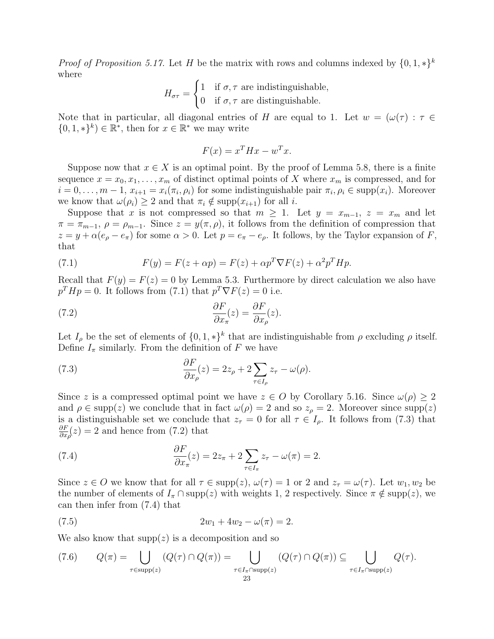*Proof of Proposition [5.17.](#page-17-2)* Let H be the matrix with rows and columns indexed by  $\{0, 1, *\}^k$ where

$$
H_{\sigma\tau} = \begin{cases} 1 & \text{if } \sigma, \tau \text{ are indistinguishable,} \\ 0 & \text{if } \sigma, \tau \text{ are distinguishable.} \end{cases}
$$

Note that in particular, all diagonal entries of H are equal to 1. Let  $w = (\omega(\tau) : \tau \in$  $\{0, 1, *\}^k$ )  $\in \mathbb{R}^*$ , then for  $x \in \mathbb{R}^*$  we may write

$$
F(x) = x^T H x - w^T x.
$$

Suppose now that  $x \in X$  is an optimal point. By the proof of Lemma [5.8,](#page-13-2) there is a finite sequence  $x = x_0, x_1, \ldots, x_m$  of distinct optimal points of X where  $x_m$  is compressed, and for  $i = 0, \ldots, m-1, x_{i+1} = x_i(\pi_i, \rho_i)$  for some indistinguishable pair  $\pi_i, \rho_i \in \text{supp}(x_i)$ . Moreover we know that  $\omega(\rho_i) \geq 2$  and that  $\pi_i \notin \text{supp}(x_{i+1})$  for all i.

Suppose that x is not compressed so that  $m \geq 1$ . Let  $y = x_{m-1}$ ,  $z = x_m$  and let  $\pi = \pi_{m-1}, \rho = \rho_{m-1}$ . Since  $z = y(\pi, \rho)$ , it follows from the definition of compression that  $z = y + \alpha (e_{\rho} - e_{\pi})$  for some  $\alpha > 0$ . Let  $p = e_{\pi} - e_{\rho}$ . It follows, by the Taylor expansion of F, that

<span id="page-22-0"></span>(7.1) 
$$
F(y) = F(z + \alpha p) = F(z) + \alpha p^T \nabla F(z) + \alpha^2 p^T H p.
$$

Recall that  $F(y) = F(z) = 0$  by Lemma [5.3.](#page-12-0) Furthermore by direct calculation we also have  $p^T H p = 0$ . It follows from [\(7.1\)](#page-22-0) that  $p^T \nabla F(z) = 0$  i.e.

<span id="page-22-2"></span>(7.2) 
$$
\frac{\partial F}{\partial x_{\pi}}(z) = \frac{\partial F}{\partial x_{\rho}}(z).
$$

Let  $I_\rho$  be the set of elements of  $\{0,1,*\}^k$  that are indistinguishable from  $\rho$  excluding  $\rho$  itself. Define  $I_{\pi}$  similarly. From the definition of F we have

<span id="page-22-1"></span>(7.3) 
$$
\frac{\partial F}{\partial x_{\rho}}(z) = 2z_{\rho} + 2\sum_{\tau \in I_{\rho}} z_{\tau} - \omega(\rho).
$$

Since z is a compressed optimal point we have  $z \in O$  by Corollary [5.16.](#page-16-3) Since  $\omega(\rho) \geq 2$ and  $\rho \in \text{supp}(z)$  we conclude that in fact  $\omega(\rho) = 2$  and so  $z_\rho = 2$ . Moreover since supp(z) is a distinguishable set we conclude that  $z_{\tau} = 0$  for all  $\tau \in I_{\rho}$ . It follows from [\(7.3\)](#page-22-1) that ∂F  $\frac{\partial F}{\partial x}$  (*z*) = 2 and hence from [\(7.2\)](#page-22-2) that

<span id="page-22-3"></span>(7.4) 
$$
\frac{\partial F}{\partial x_{\pi}}(z) = 2z_{\pi} + 2\sum_{\tau \in I_{\pi}} z_{\tau} - \omega(\pi) = 2.
$$

Since  $z \in O$  we know that for all  $\tau \in \text{supp}(z)$ ,  $\omega(\tau) = 1$  or 2 and  $z_{\tau} = \omega(\tau)$ . Let  $w_1, w_2$  be the number of elements of  $I_{\pi} \cap \text{supp}(z)$  with weights 1, 2 respectively. Since  $\pi \notin \text{supp}(z)$ , we can then infer from [\(7.4\)](#page-22-3) that

<span id="page-22-5"></span>(7.5) 
$$
2w_1 + 4w_2 - \omega(\pi) = 2.
$$

We also know that  $supp(z)$  is a decomposition and so

<span id="page-22-4"></span>
$$
(7.6) \qquad Q(\pi) = \bigcup_{\tau \in \text{supp}(z)} (Q(\tau) \cap Q(\pi)) = \bigcup_{\tau \in I_{\pi} \cap \text{supp}(z)} (Q(\tau) \cap Q(\pi)) \subseteq \bigcup_{\tau \in I_{\pi} \cap \text{supp}(z)} Q(\tau).
$$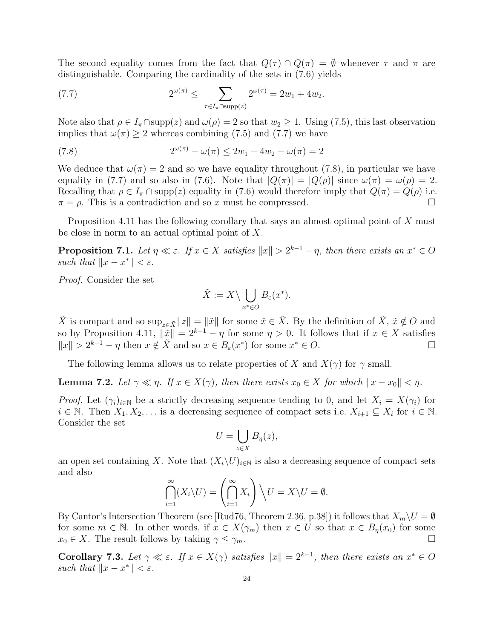The second equality comes from the fact that  $Q(\tau) \cap Q(\pi) = \emptyset$  whenever  $\tau$  and  $\pi$  are distinguishable. Comparing the cardinality of the sets in [\(7.6\)](#page-22-4) yields

<span id="page-23-0"></span>(7.7) 
$$
2^{\omega(\pi)} \leq \sum_{\tau \in I_{\pi} \cap \text{supp}(z)} 2^{\omega(\tau)} = 2w_1 + 4w_2.
$$

Note also that  $\rho \in I_{\pi} \cap \text{supp}(z)$  and  $\omega(\rho) = 2$  so that  $w_2 \geq 1$ . Using [\(7.5\)](#page-22-5), this last observation implies that  $\omega(\pi) \geq 2$  whereas combining [\(7.5\)](#page-22-5) and [\(7.7\)](#page-23-0) we have

<span id="page-23-1"></span>(7.8) 
$$
2^{\omega(\pi)} - \omega(\pi) \le 2w_1 + 4w_2 - \omega(\pi) = 2
$$

We deduce that  $\omega(\pi) = 2$  and so we have equality throughout [\(7.8\)](#page-23-1), in particular we have equality in [\(7.7\)](#page-23-0) and so also in [\(7.6\)](#page-22-4). Note that  $|Q(\pi)| = |Q(\rho)|$  since  $\omega(\pi) = \omega(\rho) = 2$ . Recalling that  $\rho \in I_{\pi} \cap \text{supp}(z)$  equality in [\(7.6\)](#page-22-4) would therefore imply that  $Q(\pi) = Q(\rho)$  i.e.  $\pi = \rho$ . This is a contradiction and so x must be compressed.

Proposition [4.11](#page-11-1) has the following corollary that says an almost optimal point of X must be close in norm to an actual optimal point of X.

<span id="page-23-2"></span>**Proposition 7.1.** Let  $\eta \ll \varepsilon$ . If  $x \in X$  satisfies  $||x|| > 2^{k-1} - \eta$ , then there exists an  $x^* \in O$ such that  $||x - x^*|| < \varepsilon$ .

Proof. Consider the set

$$
\tilde{X} := X \setminus \bigcup_{x^* \in O} B_{\varepsilon}(x^*).
$$

 $\tilde{X}$  is compact and so  $\sup_{z\in\tilde{X}}||z|| = ||\tilde{x}||$  for some  $\tilde{x}\in\tilde{X}$ . By the definition of  $\tilde{X}$ ,  $\tilde{x}\notin O$  and so by Proposition [4.11,](#page-11-1)  $\|\tilde{x}\| = 2^{k-1} - \eta$  for some  $\eta > 0$ . It follows that if  $x \in X$  satisfies  $||x|| > 2^{k-1} - \eta$  then  $x \notin \tilde{X}$  and so  $x \in B_{\varepsilon}(x^*)$  for some  $x^* \in O$ .

The following lemma allows us to relate properties of X and  $X(\gamma)$  for  $\gamma$  small.

<span id="page-23-3"></span>**Lemma 7.2.** Let  $\gamma \ll \eta$ . If  $x \in X(\gamma)$ , then there exists  $x_0 \in X$  for which  $||x - x_0|| < \eta$ .

*Proof.* Let  $(\gamma_i)_{i\in\mathbb{N}}$  be a strictly decreasing sequence tending to 0, and let  $X_i = X(\gamma_i)$  for  $i \in \mathbb{N}$ . Then  $X_1, X_2, \ldots$  is a decreasing sequence of compact sets i.e.  $X_{i+1} \subseteq X_i$  for  $i \in \mathbb{N}$ . Consider the set

$$
U=\bigcup_{z\in X}B_{\eta}(z),
$$

an open set containing X. Note that  $(X_i\setminus U)_{i\in\mathbb{N}}$  is also a decreasing sequence of compact sets and also

$$
\bigcap_{i=1}^{\infty} (X_i \setminus U) = \left(\bigcap_{i=1}^{\infty} X_i\right) \setminus U = X \setminus U = \emptyset.
$$

By Cantor's Intersection Theorem (see [\[Rud76,](#page-36-14) Theorem 2.36, p.38]) it follows that  $X_m\setminus U=\emptyset$ for some  $m \in \mathbb{N}$ . In other words, if  $x \in X(\gamma_m)$  then  $x \in U$  so that  $x \in B_n(x_0)$  for some  $x_0 \in X$ . The result follows by taking  $\gamma \leq \gamma_m$ .

<span id="page-23-4"></span>Corollary 7.3. Let  $\gamma \ll \varepsilon$ . If  $x \in X(\gamma)$  satisfies  $||x|| = 2^{k-1}$ , then there exists an  $x^* \in O$ such that  $||x - x^*|| < \varepsilon$ .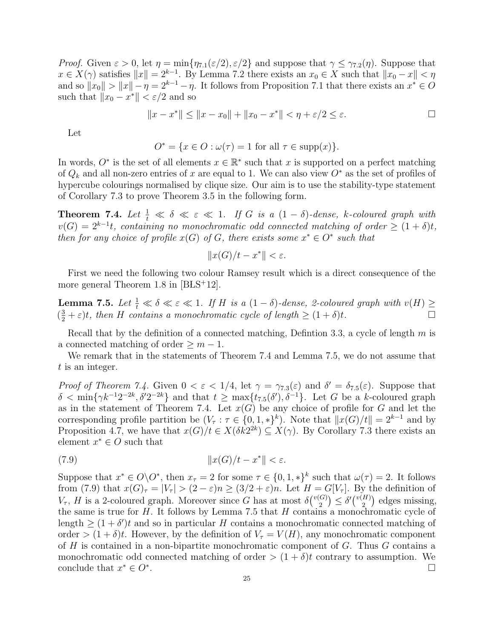*Proof.* Given  $\varepsilon > 0$ , let  $\eta = \min{\eta_{7.1}(\varepsilon/2), \varepsilon/2}$  $\eta = \min{\eta_{7.1}(\varepsilon/2), \varepsilon/2}$  $\eta = \min{\eta_{7.1}(\varepsilon/2), \varepsilon/2}$  and suppose that  $\gamma \leq \gamma_{7.2}(\eta)$  $\gamma \leq \gamma_{7.2}(\eta)$  $\gamma \leq \gamma_{7.2}(\eta)$ . Suppose that  $x \in X(\gamma)$  satisfies  $||x|| = 2^{k-1}$ . By Lemma [7.2](#page-23-3) there exists an  $x_0 \in X$  such that  $||x_0 - x|| < \eta$ and so  $||x_0|| > ||x|| - \eta = 2^{k-1} - \eta$ . It follows from Proposition [7.1](#page-23-2) that there exists an  $x^* \in O$ such that  $||x_0 - x^*|| < \varepsilon/2$  and so

$$
||x - x^*|| \le ||x - x_0|| + ||x_0 - x^*|| < \eta + \varepsilon/2 \le \varepsilon.
$$

Let

$$
O^* = \{ x \in O : \omega(\tau) = 1 \text{ for all } \tau \in \text{supp}(x) \}.
$$

In words,  $O^*$  is the set of all elements  $x \in \mathbb{R}^*$  such that x is supported on a perfect matching of  $Q_k$  and all non-zero entries of x are equal to 1. We can also view  $O^*$  as the set of profiles of hypercube colourings normalised by clique size. Our aim is to use the stability-type statement of Corollary [7.3](#page-23-4) to prove Theorem [3.5](#page-6-0) in the following form.

<span id="page-24-0"></span>**Theorem 7.4.** Let  $\frac{1}{t} \ll \delta \ll \varepsilon \ll 1$ . If G is a  $(1 - \delta)$ -dense, k-coloured graph with  $v(G) = 2^{k-1}t$ , containing no monochromatic odd connected matching of order  $\geq (1+\delta)t$ , then for any choice of profile  $x(G)$  of G, there exists some  $x^* \in O^*$  such that

$$
||x(G)/t - x^*|| < \varepsilon.
$$

First we need the following two colour Ramsey result which is a direct consequence of the more general Theorem 1.8 in  $[BLS+12]$ .

<span id="page-24-1"></span>**Lemma 7.5.** Let  $\frac{1}{t} \ll \delta \ll \varepsilon \ll 1$ . If H is a  $(1 - \delta)$ -dense, 2-coloured graph with  $v(H) \ge$  $(\frac{3}{2} + \varepsilon)t$ , then H contains a monochromatic cycle of length  $\geq (1 + \delta)t$ .

Recall that by the definition of a connected matching, Definiton [3.3,](#page-6-3) a cycle of length  $m$  is a connected matching of order  $\geq m-1$ .

We remark that in the statements of Theorem [7.4](#page-24-0) and Lemma [7.5,](#page-24-1) we do not assume that t is an integer.

*Proof of Theorem [7.4.](#page-24-0)* Given  $0 < \varepsilon < 1/4$ , let  $\gamma = \gamma_{7,3}(\varepsilon)$  $\gamma = \gamma_{7,3}(\varepsilon)$  $\gamma = \gamma_{7,3}(\varepsilon)$  and  $\delta' = \delta_{7,5}(\varepsilon)$ . Suppose that  $\delta < \min\{\gamma k^{-1}2^{-2k}, \delta'2^{-2k}\}\$  and that  $t \ge \max\{t_{7.5}(\delta'), \delta^{-1}\}\$  $t \ge \max\{t_{7.5}(\delta'), \delta^{-1}\}\$  $t \ge \max\{t_{7.5}(\delta'), \delta^{-1}\}\$ . Let G be a k-coloured graph as in the statement of Theorem [7.4.](#page-24-0) Let  $x(G)$  be any choice of profile for G and let the corresponding profile partition be  $(V_\tau : \tau \in \{0, 1, *\}^k)$ . Note that  $||x(G)/t|| = 2^{k-1}$  and by Proposition [4.7,](#page-8-3) we have that  $x(G)/t \in X(\delta k2^{2k}) \subseteq X(\gamma)$ . By Corollary [7.3](#page-23-4) there exists an element  $x^* \in O$  such that

<span id="page-24-2"></span>
$$
(7.9) \t\t\t  $\|x(G)/t - x^*\| < \varepsilon.$
$$

Suppose that  $x^* \in O\backslash O^*$ , then  $x_\tau = 2$  for some  $\tau \in \{0, 1, *\}^k$  such that  $\omega(\tau) = 2$ . It follows from [\(7.9\)](#page-24-2) that  $x(G)_{\tau} = |V_{\tau}| > (2 - \varepsilon)n \ge (3/2 + \varepsilon)n$ . Let  $H = G[V_{\tau}]$ . By the definition of  $V_{\tau}$ , H is a 2-coloured graph. Moreover since G has at most  $\delta\binom{v(G)}{2}$  $\binom{[G]}{2} \leq \delta'\binom{v(H)}{2}$  $\binom{H}{2}$  edges missing, the same is true for  $H$ . It follows by Lemma [7.5](#page-24-1) that  $H$  contains a monochromatic cycle of length  $\geq (1 + \delta')t$  and so in particular H contains a monochromatic connected matching of order  $>(1 + \delta)t$ . However, by the definition of  $V_\tau = V(H)$ , any monochromatic component of  $H$  is contained in a non-bipartite monochromatic component of  $G$ . Thus  $G$  contains a monochromatic odd connected matching of order  $>(1 + \delta)t$  contrary to assumption. We conclude that  $x^* \in O^*$ . В последните пример, на селото на селото на селото на селото на селото на селото на селото на селото на село<br>Селото на селото на селото на селото на селото на селото на селото на селото на селото на селото на селото на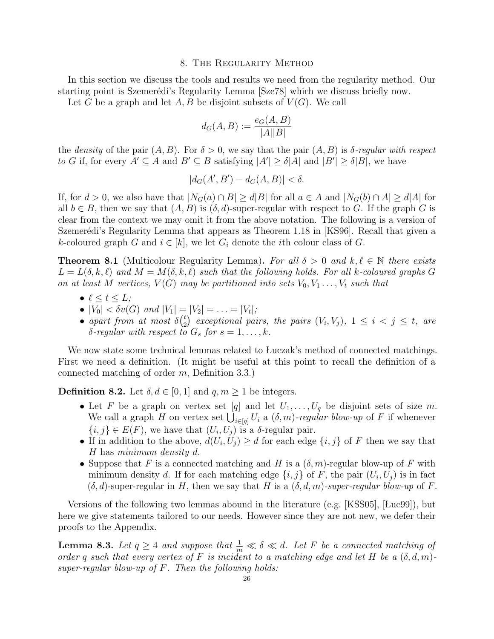### 8. The Regularity Method

In this section we discuss the tools and results we need from the regularity method. Our starting point is Szemerédi's Regularity Lemma [\[Sze78\]](#page-36-13) which we discuss briefly now. Let G be a graph and let A, B be disjoint subsets of  $V(G)$ . We call

$$
d_G(A, B) := \frac{e_G(A, B)}{|A||B|}
$$

the density of the pair  $(A, B)$ . For  $\delta > 0$ , we say that the pair  $(A, B)$  is  $\delta$ -regular with respect to G if, for every  $A' \subseteq A$  and  $B' \subseteq B$  satisfying  $|A'| \ge \delta |A|$  and  $|B'| \ge \delta |B|$ , we have

$$
|d_G(A', B') - d_G(A, B)| < \delta.
$$

If, for  $d > 0$ , we also have that  $|N_G(a) \cap B| \ge d|B|$  for all  $a \in A$  and  $|N_G(b) \cap A| \ge d|A|$  for all  $b \in B$ , then we say that  $(A, B)$  is  $(\delta, d)$ -super-regular with respect to G. If the graph G is clear from the context we may omit it from the above notation. The following is a version of Szemerédi's Regularity Lemma that appears as Theorem 1.18 in [\[KS96\]](#page-36-15). Recall that given a k-coloured graph G and  $i \in [k]$ , we let  $G_i$  denote the *i*th colour class of G.

<span id="page-25-1"></span>**Theorem 8.1** (Multicolour Regularity Lemma). For all  $\delta > 0$  and  $k, \ell \in \mathbb{N}$  there exists  $L = L(\delta, k, \ell)$  and  $M = M(\delta, k, \ell)$  such that the following holds. For all k-coloured graphs G on at least M vertices,  $V(G)$  may be partitioned into sets  $V_0, V_1, \ldots, V_t$  such that

- $\ell \leq t \leq L;$
- $|V_0| < \delta v(G)$  and  $|V_1| = |V_2| = \ldots = |V_t|$ ;
- apart from at most  $\delta({}_{2}^{t}$  $\binom{t}{2}$  exceptional pairs, the pairs  $(V_i, V_j)$ ,  $1 \leq i < j \leq t$ , are  $\delta$ -regular with respect to  $G_s$  for  $s = 1, \ldots, k$ .

We now state some technical lemmas related to Luczak's method of connected matchings. First we need a definition. (It might be useful at this point to recall the definition of a connected matching of order m, Definition [3.3.](#page-6-3))

<span id="page-25-2"></span>**Definition 8.2.** Let  $\delta, d \in [0, 1]$  and  $q, m \ge 1$  be integers.

- Let F be a graph on vertex set [q] and let  $U_1, \ldots, U_q$  be disjoint sets of size m. We call a graph H on vertex set  $\bigcup_{i\in[q]} U_i$  a  $(\delta, m)$ -regular blow-up of F if whenever  $\{i, j\} \in E(F)$ , we have that  $(U_i, U_j)$  is a  $\delta$ -regular pair.
- If in addition to the above,  $d(U_i, U_j) \geq d$  for each edge  $\{i, j\}$  of F then we say that H has minimum density d.
- Suppose that F is a connected matching and H is a  $(\delta, m)$ -regular blow-up of F with minimum density d. If for each matching edge  $\{i, j\}$  of F, the pair  $(U_i, U_j)$  is in fact  $(\delta, d)$ -super-regular in H, then we say that H is a  $(\delta, d, m)$ -super-regular blow-up of F.

Versions of the following two lemmas abound in the literature (e.g.  $[KSS05]$ ,  $[Luc99]$ ), but here we give statements tailored to our needs. However since they are not new, we defer their proofs to the Appendix.

<span id="page-25-0"></span>**Lemma 8.3.** Let  $q \ge 4$  and suppose that  $\frac{1}{m} \ll \delta \ll d$ . Let F be a connected matching of order q such that every vertex of F is incident to a matching edge and let H be a  $(\delta, d, m)$ super-regular blow-up of  $F$ . Then the following holds: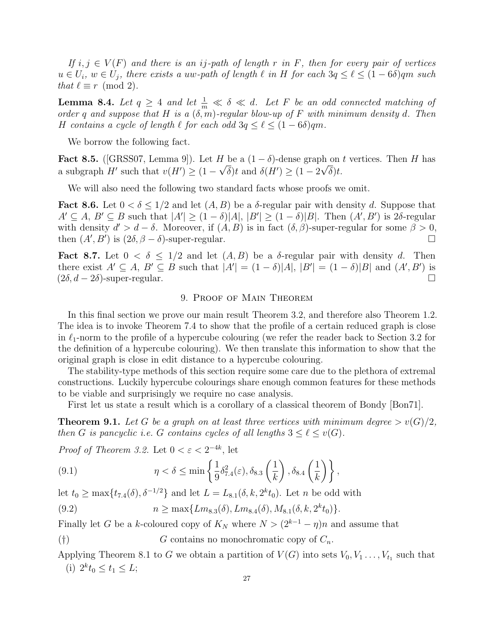If  $i, j \in V(F)$  and there is an ij-path of length r in F, then for every pair of vertices  $u \in U_i$ ,  $w \in U_j$ , there exists a uw-path of length  $\ell$  in H for each  $3q \leq \ell \leq (1-6\delta)qm$  such that  $\ell \equiv r \pmod{2}$ .

<span id="page-26-0"></span>**Lemma 8.4.** Let  $q \geq 4$  and let  $\frac{1}{m} \ll \delta \ll d$ . Let F be an odd connected matching of order q and suppose that H is a  $(\delta, m)$ -regular blow-up of F with minimum density d. Then H contains a cycle of length  $\ell$  for each odd  $3q \leq \ell \leq (1 - 6\delta)qm$ .

We borrow the following fact.

<span id="page-26-1"></span>Fact 8.5. ([\[GRSS07,](#page-36-7) Lemma 9]). Let  $H$  be a  $(1 - \delta)$ -dense graph on t vertices. Then  $H$  has a subgraph H' such that  $v(H') \geq (1 - \sqrt{\delta})t$  and  $\delta(H') \geq (1 - 2\sqrt{\delta})t$ .

We will also need the following two standard facts whose proofs we omit.

<span id="page-26-6"></span>**Fact 8.6.** Let  $0 < \delta \leq 1/2$  and let  $(A, B)$  be a  $\delta$ -regular pair with density d. Suppose that  $A' \subseteq A, B' \subseteq B$  such that  $|A'| \geq (1 - \delta)|A|, |B'| \geq (1 - \delta)|B|$ . Then  $(A', B')$  is 2 $\delta$ -regular with density  $d' > d - \delta$ . Moreover, if  $(A, B)$  is in fact  $(\delta, \beta)$ -super-regular for some  $\beta > 0$ , then  $(A', B')$  is  $(2\delta, \beta - \delta)$ -super-regular.

<span id="page-26-5"></span>**Fact 8.7.** Let  $0 < \delta \leq 1/2$  and let  $(A, B)$  be a  $\delta$ -regular pair with density d. Then there exist  $A' \subseteq A$ ,  $B' \subseteq B$  such that  $|A'| = (1 - \delta)|A|$ ,  $|B'| = (1 - \delta)|B|$  and  $(A', B')$  is  $(2\delta, d - 2\delta)$ -super-regular.

## 9. Proof of Main Theorem

In this final section we prove our main result Theorem [3.2,](#page-4-0) and therefore also Theorem [1.2.](#page-1-1) The idea is to invoke Theorem [7.4](#page-24-0) to show that the profile of a certain reduced graph is close in  $\ell_1$ -norm to the profile of a hypercube colouring (we refer the reader back to Section [3.2](#page-4-1) for the definition of a hypercube colouring). We then translate this information to show that the original graph is close in edit distance to a hypercube colouring.

The stability-type methods of this section require some care due to the plethora of extremal constructions. Luckily hypercube colourings share enough common features for these methods to be viable and surprisingly we require no case analysis.

First let us state a result which is a corollary of a classical theorem of Bondy [\[Bon71\]](#page-35-9).

<span id="page-26-4"></span>**Theorem 9.1.** Let G be a graph on at least three vertices with minimum degree  $> v(G)/2$ , then G is pancyclic i.e. G contains cycles of all lengths  $3 \leq \ell \leq v(G)$ .

*Proof of Theorem [3.2.](#page-4-0)* Let  $0 < \varepsilon < 2^{-4k}$ , let

<span id="page-26-7"></span>(9.1) 
$$
\eta < \delta \leq \min \left\{ \frac{1}{9} \delta_{7.4}^2(\varepsilon), \delta_{8.3} \left( \frac{1}{k} \right), \delta_{8.4} \left( \frac{1}{k} \right) \right\},
$$

let  $t_0 \ge \max\{t_{7.4}(\delta), \delta^{-1/2}\}\$  $t_0 \ge \max\{t_{7.4}(\delta), \delta^{-1/2}\}\$  $t_0 \ge \max\{t_{7.4}(\delta), \delta^{-1/2}\}\$ and let  $L = L_{8.1}(\delta, k, 2^k t_0)$  $L = L_{8.1}(\delta, k, 2^k t_0)$  $L = L_{8.1}(\delta, k, 2^k t_0)$ . Let n be odd with

<span id="page-26-2"></span>(9.2) 
$$
n \geq \max\{Lm_{8.3}(\delta), Lm_{8.4}(\delta), M_{8.1}(\delta, k, 2^k t_0)\}.
$$

Finally let G be a k-coloured copy of  $K_N$  where  $N > (2^{k-1} - \eta)n$  and assume that

<span id="page-26-3"></span>(†)  $G$  contains no monochromatic copy of  $C_n$ .

Applying Theorem [8.1](#page-25-1) to G we obtain a partition of  $V(G)$  into sets  $V_0, V_1, \ldots, V_{t_1}$  such that (i)  $2^k t_0 \le t_1 \le L;$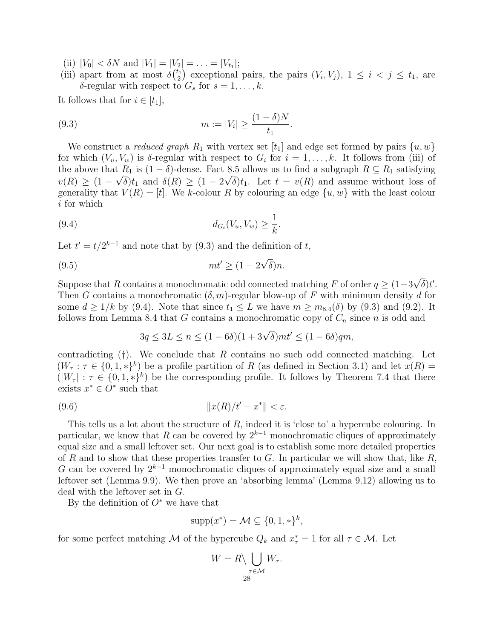- (ii)  $|V_0| < \delta N$  and  $|V_1| = |V_2| = \ldots = |V_{t_1}|;$
- (iii) apart from at most  $\delta\binom{t_1}{2}$  $\binom{t_1}{2}$  exceptional pairs, the pairs  $(V_i, V_j)$ ,  $1 \leq i < j \leq t_1$ , are  $\delta$ -regular with respect to  $G_s$  for  $s = 1, \ldots, k$ .

It follows that for  $i \in [t_1]$ ,

<span id="page-27-0"></span>(9.3) 
$$
m := |V_i| \ge \frac{(1 - \delta)N}{t_1}.
$$

We construct a *reduced graph*  $R_1$  with vertex set  $[t_1]$  and edge set formed by pairs  $\{u, w\}$ for which  $(V_u, V_w)$  is  $\delta$ -regular with respect to  $G_i$  for  $i = 1, \ldots, k$ . It follows from (iii) of the above that  $R_1$  is  $(1 - \delta)$ -dense. Fact [8.5](#page-26-1) allows us to find a subgraph  $R \subseteq R_1$  satisfying  $v(R) \ge (1 - \sqrt{\delta})t_1$  and  $\delta(R) \ge (1 - 2\sqrt{\delta})t_1$ . Let  $t = v(R)$  and assume without loss of generality that  $V(R) = [t]$ . We k-colour R by colouring an edge  $\{u, w\}$  with the least colour i for which

<span id="page-27-1"></span>(9.4) 
$$
d_{G_i}(V_u, V_w) \geq \frac{1}{k}.
$$

Let  $t' = t/2^{k-1}$  and note that by [\(9.3\)](#page-27-0) and the definition of t,

<span id="page-27-3"></span>
$$
(9.5) \t m t' \ge (1 - 2\sqrt{\delta})n.
$$

Suppose that R contains a monochromatic odd connected matching F of order  $q \ge (1+3\sqrt{\delta})t'.$ Then G contains a monochromatic  $(\delta, m)$ -regular blow-up of F with minimum density d for some  $d \geq 1/k$  by [\(9.4\)](#page-27-1). Note that since  $t_1 \leq L$  we have  $m \geq m_{8.4}(\delta)$  $m \geq m_{8.4}(\delta)$  $m \geq m_{8.4}(\delta)$  by [\(9.3\)](#page-27-0) and [\(9.2\)](#page-26-2). It follows from Lemma [8.4](#page-26-0) that G contains a monochromatic copy of  $C_n$  since n is odd and

$$
3q \le 3L \le n \le (1 - 6\delta)(1 + 3\sqrt{\delta})mt' \le (1 - 6\delta)qm,
$$

contradicting  $(†)$  $(†)$  $(†)$ . We conclude that R contains no such odd connected matching. Let  $(W_\tau : \tau \in \{0,1,*\}^k)$  be a profile partition of R (as defined in Section [3.1\)](#page-3-1) and let  $x(R)$  =  $(|W_{\tau}| : \tau \in \{0,1,*\}^k)$  be the corresponding profile. It follows by Theorem [7.4](#page-24-0) that there exists  $x^* \in O^*$  such that

<span id="page-27-2"></span>
$$
(9.6) \t\t\t\t\t||x(R)/t'-x^*|| < \varepsilon.
$$

This tells us a lot about the structure of R, indeed it is 'close to' a hypercube colouring. In particular, we know that R can be covered by  $2^{k-1}$  monochromatic cliques of approximately equal size and a small leftover set. Our next goal is to establish some more detailed properties of R and to show that these properties transfer to G. In particular we will show that, like R, G can be covered by  $2^{k-1}$  monochromatic cliques of approximately equal size and a small leftover set (Lemma [9.9\)](#page-30-0). We then prove an 'absorbing lemma' (Lemma [9.12\)](#page-32-0) allowing us to deal with the leftover set in G.

By the definition of  $O^*$  we have that

$$
supp(x^*) = \mathcal{M} \subseteq \{0, 1, *\}^k,
$$

for some perfect matching M of the hypercube  $Q_k$  and  $x^* = 1$  for all  $\tau \in \mathcal{M}$ . Let

$$
W = R \setminus \bigcup_{\substack{\tau \in \mathcal{M} \\ 28}} W_{\tau}.
$$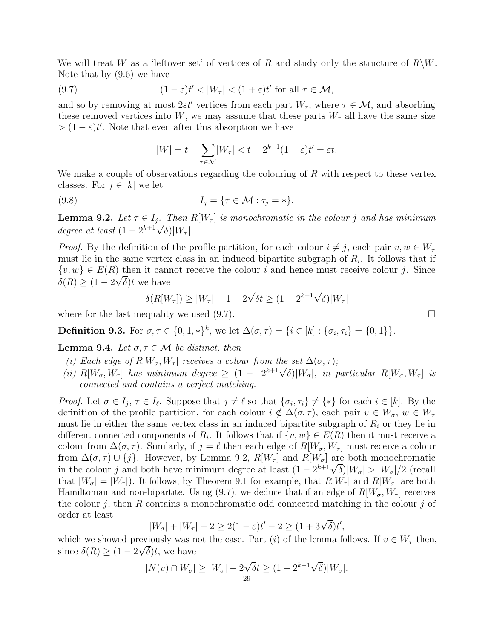We will treat W as a 'leftover set' of vertices of R and study only the structure of  $R\backslash W$ . Note that by [\(9.6\)](#page-27-2) we have

<span id="page-28-0"></span>(9.7) 
$$
(1 - \varepsilon)t' < |W_{\tau}| < (1 + \varepsilon)t' \text{ for all } \tau \in \mathcal{M},
$$

and so by removing at most  $2\varepsilon t'$  vertices from each part  $W_\tau$ , where  $\tau \in \mathcal{M}$ , and absorbing these removed vertices into W, we may assume that these parts  $W_{\tau}$  all have the same size  $> (1 - \varepsilon)t'$ . Note that even after this absorption we have

$$
|W| = t - \sum_{\tau \in \mathcal{M}} |W_{\tau}| < t - 2^{k-1}(1 - \varepsilon)t' = \varepsilon t.
$$

We make a couple of observations regarding the colouring of  $R$  with respect to these vertex classes. For  $j \in [k]$  we let

<span id="page-28-5"></span>
$$
(9.8) \tIj = \{ \tau \in \mathcal{M} : \tau_j = * \}.
$$

<span id="page-28-1"></span>**Lemma 9.2.** Let  $\tau \in I_i$ . Then R[W<sub> $\tau$ </sub>] is monochromatic in the colour j and has minimum **Lemma 9.2.** Let  $\tau \in I_j$ . Then I<br>degree at least  $(1 - 2^{k+1}\sqrt{\delta})|W_{\tau}|$ .

*Proof.* By the definition of the profile partition, for each colour  $i \neq j$ , each pair  $v, w \in W_{\tau}$ must lie in the same vertex class in an induced bipartite subgraph of  $R_i$ . It follows that if  $\{v, w\} \in E(R)$  then it cannot receive the colour i and hence must receive colour j. Since  $\delta(R) \geq (1 - 2\sqrt{\delta})t$  we have

$$
\delta(R[W_{\tau}]) \ge |W_{\tau}| - 1 - 2\sqrt{\delta}t \ge (1 - 2^{k+1}\sqrt{\delta})|W_{\tau}|
$$

where for the last inequality we used  $(9.7)$ .

**Definition 9.3.** For  $\sigma, \tau \in \{0, 1, *\}^k$ , we let  $\Delta(\sigma, \tau) = \{i \in [k] : \{\sigma_i, \tau_i\} = \{0, 1\}\}.$ 

<span id="page-28-2"></span>**Lemma 9.4.** Let  $\sigma, \tau \in \mathcal{M}$  be distinct, then

- <span id="page-28-3"></span>(i) Each edge of  $R[W_{\sigma}, W_{\tau}]$  receives a colour from the set  $\Delta(\sigma, \tau)$ ;
- <span id="page-28-4"></span>(i) Each eage of  $R[W_{\sigma}, W_{\tau}]$  receives a colour from the set  $\Delta(\sigma, \tau)$ ;<br>(ii)  $R[W_{\sigma}, W_{\tau}]$  has minimum degree  $\geq (1 - 2^{k+1}\sqrt{\delta})|W_{\sigma}|$ , in particular  $R[W_{\sigma}, W_{\tau}]$  is connected and contains a perfect matching.

*Proof.* Let  $\sigma \in I_j$ ,  $\tau \in I_\ell$ . Suppose that  $j \neq \ell$  so that  $\{\sigma_i, \tau_i\} \neq {\ast}$  for each  $i \in [k]$ . By the definition of the profile partition, for each colour  $i \notin \Delta(\sigma, \tau)$ , each pair  $v \in W_{\sigma}$ ,  $w \in W_{\tau}$ must lie in either the same vertex class in an induced bipartite subgraph of  $R_i$  or they lie in different connected components of  $R_i$ . It follows that if  $\{v, w\} \in E(R)$  then it must receive a colour from  $\Delta(\sigma, \tau)$ . Similarly, if  $j = \ell$  then each edge of  $R[W_{\sigma}, W_{\tau}]$  must receive a colour from  $\Delta(\sigma, \tau) \cup \{j\}$ . However, by Lemma [9.2,](#page-28-1)  $R[W_\tau]$  and  $R[W_\sigma]$  are both monochromatic in the colour j and both have minimum degree at least  $(1 - 2^{k+1}\sqrt{\delta})|W_{\sigma}| > |W_{\sigma}|/2$  (recall that  $|W_{\sigma}| = |W_{\tau}|$ . It follows, by Theorem [9.1](#page-26-4) for example, that  $R[W_{\tau}]$  and  $R[W_{\sigma}]$  are both Hamiltonian and non-bipartite. Using [\(9.7\)](#page-28-0), we deduce that if an edge of  $R[W_{\sigma}, W_{\tau}]$  receives the colour j, then R contains a monochromatic odd connected matching in the colour j of order at least

$$
|W_{\sigma}|+|W_{\tau}|-2\geq 2(1-\varepsilon)t'-2\geq (1+3\sqrt{\delta})t',
$$

which we showed previously was not the case. Part (i) of the lemma follows. If  $v \in W_{\tau}$  then, since  $\delta(R) \geq (1 - 2\sqrt{\delta})t$ , we have

$$
|N(v) \cap W_{\sigma}| \ge |W_{\sigma}| - 2\sqrt{\delta}t \ge (1 - 2^{k+1}\sqrt{\delta})|W_{\sigma}|.
$$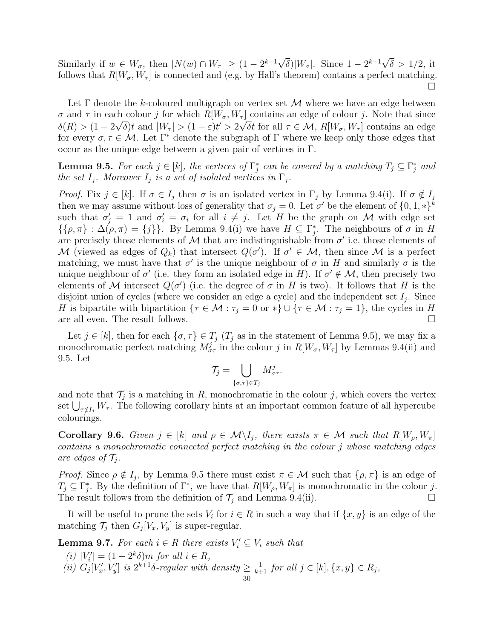Similarly if  $w \in W_{\sigma}$ , then  $|N(w) \cap W_{\tau}| \geq (1 - 2^{k+1}\sqrt{\delta})|W_{\sigma}|$ . Since  $1 - 2^{k+1}\sqrt{\delta} > 1/2$ , it follows that  $R[W_{\sigma}, W_{\tau}]$  is connected and (e.g. by Hall's theorem) contains a perfect matching. П

Let  $\Gamma$  denote the k-coloured multigraph on vertex set  $\mathcal M$  where we have an edge between  $\sigma$  and  $\tau$  in each colour j for which  $R[W_{\sigma}, W_{\tau}]$  contains an edge of colour j. Note that since  $\delta(R) > (1 - 2\sqrt{\delta})t$  and  $|W_{\tau}| > (1 - \varepsilon)t' > 2\sqrt{\delta}t$  for all  $\tau \in \mathcal{M}$ ,  $R[W_{\sigma}, W_{\tau}]$  contains an edge for every  $\sigma, \tau \in \mathcal{M}$ . Let  $\Gamma^*$  denote the subgraph of  $\Gamma$  where we keep only those edges that occur as the unique edge between a given pair of vertices in Γ.

<span id="page-29-0"></span>**Lemma 9.5.** For each  $j \in [k]$ , the vertices of  $\Gamma_j^*$  can be covered by a matching  $T_j \subseteq \Gamma_j^*$  and the set  $I_j$ . Moreover  $I_j$  is a set of isolated vertices in  $\Gamma_j$ .

Proof. Fix  $j \in [k]$ . If  $\sigma \in I_j$  then  $\sigma$  is an isolated vertex in  $\Gamma_j$  by Lemma [9.4\(](#page-28-2)[i\)](#page-28-3). If  $\sigma \notin I_j$ then we may assume without loss of generality that  $\sigma_j = 0$ . Let  $\sigma'$  be the element of  $\{0, 1, *\}^k$ such that  $\sigma'_j = 1$  and  $\sigma'_i = \sigma_i$  for all  $i \neq j$ . Let H be the graph on M with edge set  $\{\{\rho,\pi\}: \Delta(\rho,\pi)=\{j\}\}.$  $\{\{\rho,\pi\}: \Delta(\rho,\pi)=\{j\}\}.$  $\{\{\rho,\pi\}: \Delta(\rho,\pi)=\{j\}\}.$  By Lemma [9.4\(](#page-28-2)i) we have  $H\subseteq \Gamma_j^*$ . The neighbours of  $\sigma$  in H are precisely those elements of M that are indistinguishable from  $\sigma'$  i.e. those elements of M (viewed as edges of  $Q_k$ ) that intersect  $Q(\sigma')$ . If  $\sigma' \in \mathcal{M}$ , then since M is a perfect matching, we must have that  $\sigma'$  is the unique neighbour of  $\sigma$  in H and similarly  $\sigma$  is the unique neighbour of  $\sigma'$  (i.e. they form an isolated edge in H). If  $\sigma' \notin \mathcal{M}$ , then precisely two elements of M intersect  $Q(\sigma')$  (i.e. the degree of  $\sigma$  in H is two). It follows that H is the disjoint union of cycles (where we consider an edge a cycle) and the independent set  $I_j$ . Since H is bipartite with bipartition  $\{\tau \in \mathcal{M} : \tau_j = 0 \text{ or } *\} \cup \{\tau \in \mathcal{M} : \tau_j = 1\},\$  the cycles in H are all even. The result follows.  $\Box$ 

Let  $j \in [k]$ , then for each  $\{\sigma, \tau\} \in T_j$  ( $T_j$  as in the statement of Lemma [9.5\)](#page-29-0), we may fix a monochromatic perfect matching  $M_{\sigma\tau}^j$  in the colour j in  $R[W_{\sigma}, W_{\tau}]$  by Lemmas [9.4](#page-28-2)[\(ii\)](#page-28-4) and [9.5.](#page-29-0) Let

$$
\mathcal{T}_j = \bigcup_{\{\sigma,\tau\} \in T_j} M_{\sigma\tau}^j.
$$

and note that  $\mathcal{T}_j$  is a matching in R, monochromatic in the colour j, which covers the vertex set  $\bigcup_{\tau \notin I_j} W_{\tau}$ . The following corollary hints at an important common feature of all hypercube colourings.

<span id="page-29-1"></span>Corollary 9.6. Given  $j \in [k]$  and  $\rho \in \mathcal{M} \setminus I_j$ , there exists  $\pi \in \mathcal{M}$  such that  $R[W_\rho, W_\pi]$ contains a monochromatic connected perfect matching in the colour j whose matching edges are edges of  $\mathcal{T}_i$ .

*Proof.* Since  $\rho \notin I_j$ , by Lemma [9.5](#page-29-0) there must exist  $\pi \in \mathcal{M}$  such that  $\{\rho, \pi\}$  is an edge of  $T_j \subseteq \Gamma_j^*$ . By the definition of  $\Gamma^*$ , we have that  $R[W_\rho, W_\pi]$  is monochromatic in the colour j. The result follows from the definition of  $\mathcal{T}_j$  and Lemma [9.4\(](#page-28-2)[ii\)](#page-28-4).

It will be useful to prune the sets  $V_i$  for  $i \in R$  in such a way that if  $\{x, y\}$  is an edge of the matching  $\mathcal{T}_j$  then  $G_j[V_x, V_y]$  is super-regular.

<span id="page-29-2"></span>**Lemma 9.7.** For each  $i \in R$  there exists  $V_i' \subseteq V_i$  such that

(i)  $|V'_i| = (1 - 2^k \delta)m$  for all  $i \in R$ , (i)  $|V_i| - (1 - 2 \text{ }$  of the  $i \in R$ ,<br>
(ii)  $G_j[V'_x, V'_y]$  is  $2^{k+1}\delta$ -regular with density  $\geq \frac{1}{k+1}$  for all  $j \in [k], \{x, y\} \in R_j$ ,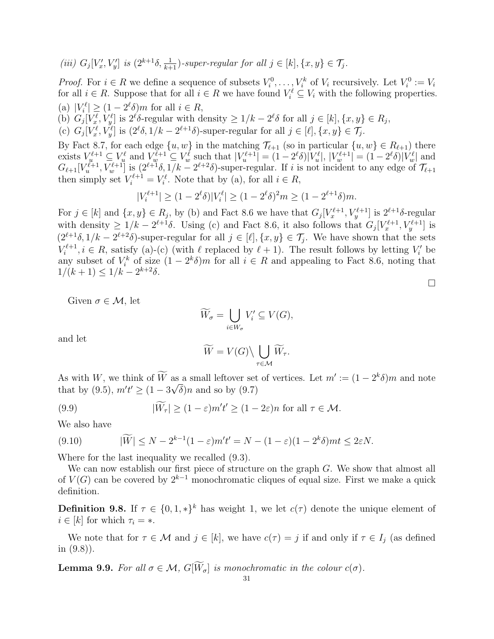(iii) 
$$
G_j[V'_x, V'_y]
$$
 is  $(2^{k+1}\delta, \frac{1}{k+1})$ -super-regular for all  $j \in [k]$ ,  $\{x, y\} \in \mathcal{T}_j$ .

*Proof.* For  $i \in R$  we define a sequence of subsets  $V_i^0, \ldots, V_i^k$  of  $V_i$  recursively. Let  $V_i^0 := V_i$ for all  $i \in R$ . Suppose that for all  $i \in R$  we have found  $V_i^{\ell} \subseteq V_i$  with the following properties. (a)  $|V_i^{\ell}| \geq (1 - 2^{\ell}\delta)m$  for all  $i \in R$ ,

<span id="page-30-2"></span><span id="page-30-1"></span>(a)  $|V_i| \leq (1-2 \text{ cm})$  for all  $i \in I$ ,<br>
(b)  $G_j[V_x^{\ell}, V_y^{\ell}]$  is  $2^{\ell}\delta$ -regular with density  $\geq 1/k - 2^{\ell}\delta$  for all  $j \in [k], \{x, y\} \in R_j$ ,

<span id="page-30-3"></span>(c)  $G_j[V_x^{\ell}, V_y^{\ell}]$  is  $(2^{\ell}\delta, 1/k - 2^{\ell+1}\delta)$ -super-regular for all  $j \in [\ell], \{x, y\} \in \mathcal{T}_j$ .

By Fact [8.7,](#page-26-5) for each edge  $\{u, w\}$  in the matching  $\mathcal{T}_{\ell+1}$  (so in particular  $\{u, w\} \in R_{\ell+1}$ ) there exists  $V_u^{\ell+1} \subseteq V_u^{\ell}$  and  $V_w^{\ell+1} \subseteq V_w^{\ell}$  such that  $|V_u^{\ell+1}| = (1 - 2^{\ell}\delta)|V_u^{\ell}|$ ,  $|V_w^{\ell+1}| = (1 - 2^{\ell}\delta)|V_w^{\ell}|$  and  $G_{\ell+1}[V_u^{\ell+1}, V_w^{\ell+1}]$  is  $(2^{\ell+1}\delta, 1/k - 2^{\ell+2}\delta)$ -super-regular. If i is not incident to any edge of  $\mathcal{T}_{\ell+1}$ then simply set  $V_i^{\ell+1} = V_i^{\ell}$ . Note that by [\(a\)](#page-30-1), for all  $i \in R$ ,

$$
|V_i^{\ell+1}| \ge (1 - 2^{\ell}\delta)|V_i^{\ell}| \ge (1 - 2^{\ell}\delta)^2 m \ge (1 - 2^{\ell+1}\delta)m.
$$

For  $j \in [k]$  and  $\{x, y\} \in R_j$ , by [\(b\)](#page-30-2) and Fact [8.6](#page-26-6) we have that  $G_j[V_x^{\ell+1}, V_y^{\ell+1}]$  is  $2^{\ell+1}\delta$ -regular with density  $\geq 1/k - 2^{\ell+1}\delta$ . Using [\(c\)](#page-30-3) and Fact [8.6,](#page-26-6) it also follows that  $G_j[V_x^{\ell+1}, V_y^{\ell+1}]$  is  $(2^{\ell+1}\delta, 1/k - 2^{\ell+2}\delta)$ -super-regular for all  $j \in [\ell], \{x, y\} \in \mathcal{T}_j$ . We have shown that the sets  $V_i^{\ell+1}$  $\mathcal{L}^{\ell+1}, i \in R$ , satisfy [\(a\)](#page-30-1)-[\(c\)](#page-30-3) (with  $\ell$  replaced by  $\ell + 1$ ). The result follows by letting  $V_i'$  be any subset of  $V_i^k$  of size  $(1 - 2^k \delta)m$  for all  $i \in R$  and appealing to Fact [8.6,](#page-26-6) noting that  $1/(k+1) \leq 1/k - 2^{k+2}\delta$ .

Given  $\sigma \in \mathcal{M}$ , let

$$
\widetilde{W}_{\sigma} = \bigcup_{i \in W_{\sigma}} V'_i \subseteq V(G),
$$

and let

$$
\widetilde{W} = V(G) \setminus \bigcup_{\tau \in \mathcal{M}} \widetilde{W}_{\tau}.
$$

As with W, we think of W as a small leftover set of vertices. Let  $m' := (1 - 2^k \delta)m$  and note that by [\(9.5\)](#page-27-3),  $m't' \ge (1 - 3\sqrt{\delta})n$  and so by [\(9.7\)](#page-28-0)

<span id="page-30-4"></span>(9.9) 
$$
|\widetilde{W}_{\tau}| \ge (1-\varepsilon)m't' \ge (1-2\varepsilon)n \text{ for all } \tau \in \mathcal{M}.
$$

We also have

<span id="page-30-5"></span>(9.10) 
$$
|\widetilde{W}| \le N - 2^{k-1}(1-\varepsilon)m't' = N - (1-\varepsilon)(1-2^k\delta)mt \le 2\varepsilon N.
$$

Where for the last inequality we recalled [\(9.3\)](#page-27-0).

We can now establish our first piece of structure on the graph G. We show that almost all of  $V(G)$  can be covered by  $2^{k-1}$  monochromatic cliques of equal size. First we make a quick definition.

**Definition 9.8.** If  $\tau \in \{0, 1, *\}^k$  has weight 1, we let  $c(\tau)$  denote the unique element of  $i \in [k]$  for which  $\tau_i = *$ .

We note that for  $\tau \in \mathcal{M}$  and  $j \in [k]$ , we have  $c(\tau) = j$  if and only if  $\tau \in I_j$  (as defined in [\(9.8\)](#page-28-5)).

<span id="page-30-0"></span>**Lemma 9.9.** For all  $\sigma \in \mathcal{M}$ ,  $G[\widetilde{W}_{\sigma}]$  is monochromatic in the colour  $c(\sigma)$ .

 $\Box$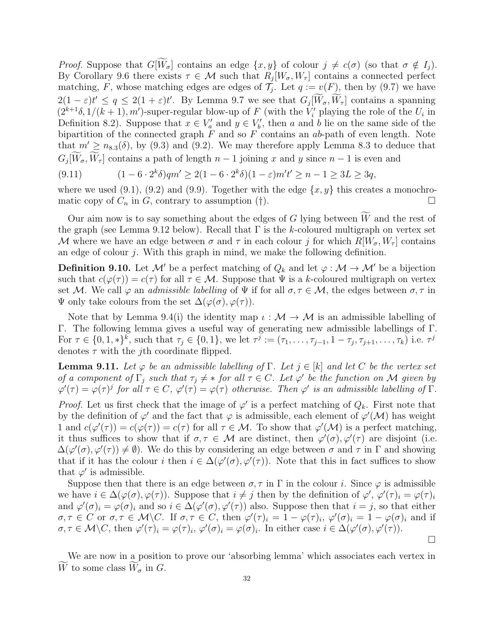*Proof.* Suppose that  $G[\widetilde{W}_{\sigma}]$  contains an edge  $\{x, y\}$  of colour  $j \neq c(\sigma)$  (so that  $\sigma \notin I_j$ ). By Corollary [9.6](#page-29-1) there exists  $\tau \in \mathcal{M}$  such that  $R_j[W_\sigma, W_\tau]$  contains a connected perfect matching, F, whose matching edges are edges of  $\mathcal{T}_j$ . Let  $q := v(F)$ , then by [\(9.7\)](#page-28-0) we have  $2(1-\varepsilon)t' \leq q \leq 2(1+\varepsilon)t'$ . By Lemma [9.7](#page-29-2) we see that  $G_j[\tilde{W}_{\sigma}, \tilde{W}_{\tau}]$  contains a spanning  $(2^{k+1}\delta, 1/(k+1), m')$ -super-regular blow-up of F (with the  $V_i'$  playing the role of the  $U_i$  in Definition [8.2\)](#page-25-2). Suppose that  $x \in V_a'$  and  $y \in V_b'$ , then a and b lie on the same side of the bipartition of the connected graph  $F$  and so  $F$  contains an ab-path of even length. Note that  $m' \geq n_{8.3}(\delta)$  $m' \geq n_{8.3}(\delta)$  $m' \geq n_{8.3}(\delta)$ , by [\(9.3\)](#page-27-0) and [\(9.2\)](#page-26-2). We may therefore apply Lemma [8.3](#page-25-0) to deduce that  $G_j[W_\sigma, W_\tau]$  contains a path of length  $n-1$  joining x and y since  $n-1$  is even and

<span id="page-31-1"></span>(9.11) 
$$
(1 - 6 \cdot 2^k \delta) q m' \ge 2(1 - 6 \cdot 2^k \delta)(1 - \varepsilon) m' t' \ge n - 1 \ge 3L \ge 3q,
$$

where we used  $(9.1)$ ,  $(9.2)$  and  $(9.9)$ . Together with the edge  $\{x, y\}$  this creates a monochromatic copy of  $C_n$  in  $G$ , contrary to assumption ([†](#page-26-3)).

Our aim now is to say something about the edges of G lying between  $\widetilde{W}$  and the rest of the graph (see Lemma [9.12](#page-32-0) below). Recall that  $\Gamma$  is the k-coloured multigraph on vertex set M where we have an edge between  $\sigma$  and  $\tau$  in each colour j for which  $R[W_{\sigma}, W_{\tau}]$  contains an edge of colour  $j$ . With this graph in mind, we make the following definition.

<span id="page-31-2"></span>**Definition 9.10.** Let M' be a perfect matching of  $Q_k$  and let  $\varphi : \mathcal{M} \to \mathcal{M}'$  be a bijection such that  $c(\varphi(\tau)) = c(\tau)$  for all  $\tau \in \mathcal{M}$ . Suppose that  $\Psi$  is a k-coloured multigraph on vertex set M. We call  $\varphi$  an *admissible labelling* of  $\Psi$  if for all  $\sigma, \tau \in \mathcal{M}$ , the edges between  $\sigma, \tau$  in  $\Psi$  only take colours from the set  $\Delta(\varphi(\sigma), \varphi(\tau))$ .

Note that by Lemma [9.4\(](#page-28-2)[i\)](#page-28-3) the identity map  $\iota : \mathcal{M} \to \mathcal{M}$  is an admissible labelling of Γ. The following lemma gives a useful way of generating new admissible labellings of Γ. For  $\tau \in \{0, 1, *\}^k$ , such that  $\tau_j \in \{0, 1\}$ , we let  $\tau^j := (\tau_1, \ldots, \tau_{j-1}, 1 - \tau_j, \tau_{j+1}, \ldots, \tau_k)$  i.e.  $\tau^j$ denotes  $\tau$  with the *j*th coordinate flipped.

<span id="page-31-0"></span>**Lemma 9.11.** Let  $\varphi$  be an admissible labelling of  $\Gamma$ . Let  $j \in [k]$  and let C be the vertex set of a component of  $\Gamma_j$  such that  $\tau_j \neq *$  for all  $\tau \in C$ . Let  $\varphi'$  be the function on M given by  $\varphi'(\tau) = \varphi(\tau)^j$  for all  $\tau \in C$ ,  $\varphi'(\tau) = \varphi(\tau)$  otherwise. Then  $\varphi'$  is an admissible labelling of  $\Gamma$ .

*Proof.* Let us first check that the image of  $\varphi'$  is a perfect matching of  $Q_k$ . First note that by the definition of  $\varphi'$  and the fact that  $\varphi$  is admissible, each element of  $\varphi'(\mathcal{M})$  has weight 1 and  $c(\varphi'(\tau)) = c(\varphi(\tau)) = c(\tau)$  for all  $\tau \in \mathcal{M}$ . To show that  $\varphi'(\mathcal{M})$  is a perfect matching, it thus suffices to show that if  $\sigma, \tau \in \mathcal{M}$  are distinct, then  $\varphi'(\sigma), \varphi'(\tau)$  are disjoint (i.e.  $\Delta(\varphi'(\sigma), \varphi'(\tau)) \neq \emptyset$ . We do this by considering an edge between  $\sigma$  and  $\tau$  in  $\Gamma$  and showing that if it has the colour i then  $i \in \Delta(\varphi'(\sigma), \varphi'(\tau))$ . Note that this in fact suffices to show that  $\varphi'$  is admissible.

Suppose then that there is an edge between  $\sigma, \tau$  in  $\Gamma$  in the colour *i*. Since  $\varphi$  is admissible we have  $i \in \Delta(\varphi(\sigma), \varphi(\tau))$ . Suppose that  $i \neq j$  then by the definition of  $\varphi', \varphi'(\tau)_i = \varphi(\tau)_i$ and  $\varphi'(\sigma)_i = \varphi(\sigma)_i$  and so  $i \in \Delta(\varphi'(\sigma), \varphi'(\tau))$  also. Suppose then that  $i = j$ , so that either  $\sigma, \tau \in C$  or  $\sigma, \tau \in \mathcal{M} \backslash C$ . If  $\sigma, \tau \in C$ , then  $\varphi'(\tau)_i = 1 - \varphi(\tau)_i$ ,  $\varphi'(\sigma)_i = 1 - \varphi(\sigma)_i$  and if  $\sigma, \tau \in \mathcal{M}\backslash C$ , then  $\varphi'(\tau)_i = \varphi(\tau)_i$ ,  $\varphi'(\sigma)_i = \varphi(\sigma)_i$ . In either case  $i \in \Delta(\varphi'(\sigma), \varphi'(\tau))$ .

We are now in a position to prove our 'absorbing lemma' which associates each vertex in W to some class  $W_{\sigma}$  in G.

 $\Box$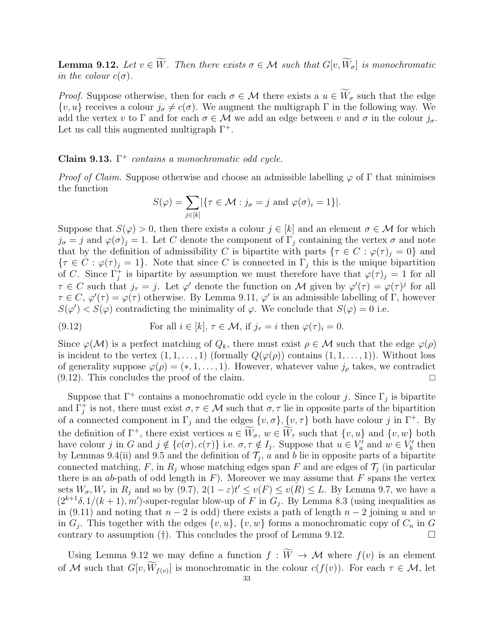<span id="page-32-0"></span>**Lemma 9.12.** Let  $v \in \widetilde{W}$ . Then there exists  $\sigma \in \mathcal{M}$  such that  $G[v, \widetilde{W}_{\sigma}]$  is monochromatic in the colour  $c(\sigma)$ .

*Proof.* Suppose otherwise, then for each  $\sigma \in \mathcal{M}$  there exists a  $u \in \widetilde{W}_{\sigma}$  such that the edge  $\{v, u\}$  receives a colour  $j_{\sigma} \neq c(\sigma)$ . We augment the multigraph  $\Gamma$  in the following way. We add the vertex v to  $\Gamma$  and for each  $\sigma \in \mathcal{M}$  we add an edge between v and  $\sigma$  in the colour  $j_{\sigma}$ . Let us call this augmented multigraph  $\Gamma^+$ .

# Claim 9.13.  $\Gamma^+$  contains a monochromatic odd cycle.

*Proof of Claim.* Suppose otherwise and choose an admissible labelling  $\varphi$  of  $\Gamma$  that minimises the function

$$
S(\varphi) = \sum_{j \in [k]} \{ \tau \in \mathcal{M} : j_{\sigma} = j \text{ and } \varphi(\sigma)_i = 1 \} |.
$$

Suppose that  $S(\varphi) > 0$ , then there exists a colour  $j \in [k]$  and an element  $\sigma \in \mathcal{M}$  for which  $j_{\sigma} = j$  and  $\varphi(\sigma) = 1$ . Let C denote the component of  $\Gamma_i$  containing the vertex  $\sigma$  and note that by the definition of admissibility C is bipartite with parts  $\{\tau \in C : \varphi(\tau)_{i} = 0\}$  and  ${\tau \in C : \varphi(\tau)_j = 1}.$  Note that since C is connected in  $\Gamma_j$  this is the unique bipartition of C. Since  $\Gamma_j^+$  is bipartite by assumption we must therefore have that  $\varphi(\tau)_j = 1$  for all  $\tau \in C$  such that  $j_{\tau} = j$ . Let  $\varphi'$  denote the function on M given by  $\varphi'(\tau) = \varphi(\tau)^{j}$  for all  $\tau \in C$ ,  $\varphi'(\tau) = \varphi(\tau)$  otherwise. By Lemma [9.11,](#page-31-0)  $\varphi'$  is an admissible labelling of  $\Gamma$ , however  $S(\varphi') < S(\varphi)$  contradicting the minimality of  $\varphi$ . We conclude that  $S(\varphi) = 0$  i.e.

<span id="page-32-1"></span>(9.12) For all 
$$
i \in [k]
$$
,  $\tau \in \mathcal{M}$ , if  $j_{\tau} = i$  then  $\varphi(\tau)_i = 0$ .

Since  $\varphi(\mathcal{M})$  is a perfect matching of  $Q_k$ , there must exist  $\rho \in \mathcal{M}$  such that the edge  $\varphi(\rho)$ is incident to the vertex  $(1, 1, \ldots, 1)$  (formally  $Q(\varphi(\rho))$  contains  $(1, 1, \ldots, 1)$ ). Without loss of generality suppose  $\varphi(\rho) = (*, 1, \ldots, 1)$ . However, whatever value  $j_{\rho}$  takes, we contradict  $(9.12)$ . This concludes the proof of the claim.

Suppose that  $\Gamma^+$  contains a monochromatic odd cycle in the colour j. Since  $\Gamma_j$  is bipartite and  $\Gamma_j^+$  is not, there must exist  $\sigma, \tau \in \mathcal{M}$  such that  $\sigma, \tau$  lie in opposite parts of the bipartition of a connected component in  $\Gamma_j$  and the edges  $\{v, \sigma\}$ ,  $\{v, \tau\}$  both have colour j in  $\Gamma^+$ . By the definition of  $\Gamma^+$ , there exist vertices  $u \in W_\sigma$ ,  $w \in W_\tau$  such that  $\{v, u\}$  and  $\{v, w\}$  both have colour j in G and  $j \notin \{c(\sigma), c(\tau)\}\$ i.e.  $\sigma, \tau \notin I_j$ . Suppose that  $u \in V'_a$  and  $w \in V'_b$  then by Lemmas [9.4](#page-28-2)[\(ii\)](#page-28-4) and [9.5](#page-29-0) and the definition of  $\mathcal{T}_j$ , a and b lie in opposite parts of a bipartite connected matching, F, in  $R_i$  whose matching edges span F and are edges of  $\mathcal{T}_i$  (in particular there is an ab-path of odd length in  $F$ ). Moreover we may assume that  $F$  spans the vertex sets  $W_{\sigma}$ ,  $W_{\tau}$  in  $R_j$  and so by [\(9.7\)](#page-28-0),  $2(1-\varepsilon)t' \le v(F) \le v(R) \le L$ . By Lemma [9.7,](#page-29-2) we have a  $(2^{k+1}\delta, 1/(k+1), m')$ -super-regular blow-up of F in  $G_j$ . By Lemma [8.3](#page-25-0) (using inequalities as in [\(9.11\)](#page-31-1) and noting that  $n-2$  is odd) there exists a path of length  $n-2$  joining u and w in  $G_j$ . This together with the edges  $\{v, u\}$ ,  $\{v, w\}$  forms a monochromatic copy of  $C_n$  in G contrary to assumption  $(\dagger)$ . This concludes the proof of Lemma [9.12.](#page-32-0)

Using Lemma [9.12](#page-32-0) we may define a function  $f : \widetilde{W} \to M$  where  $f(v)$  is an element of M such that  $G[v, W_{f(v)}]$  is monochromatic in the colour  $c(f(v))$ . For each  $\tau \in M$ , let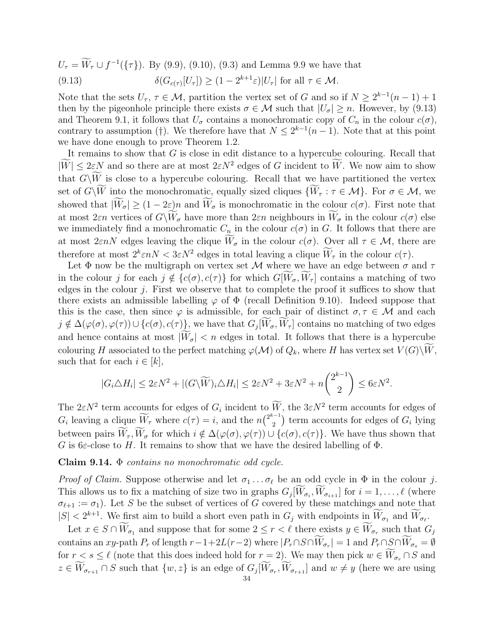<span id="page-33-0"></span> $U_{\tau} = W_{\tau} \cup f^{-1}(\{\tau\})$ . By [\(9.9\)](#page-30-4), [\(9.10\)](#page-30-5), [\(9.3\)](#page-27-0) and Lemma [9.9](#page-30-0) we have that (9.13)  $\delta(G_{c(\tau)}[U_{\tau}]) \geq (1 - 2^{k+1}\varepsilon)|U_{\tau}|$  for all  $\tau \in \mathcal{M}$ .

Note that the sets  $U_{\tau}$ ,  $\tau \in M$ , partition the vertex set of G and so if  $N \geq 2^{k-1}(n-1) + 1$ then by the pigeonhole principle there exists  $\sigma \in \mathcal{M}$  such that  $|U_{\sigma}| \geq n$ . However, by [\(9.13\)](#page-33-0) and Theorem [9.1,](#page-26-4) it follows that  $U_{\sigma}$  contains a monochromatic copy of  $C_n$  in the colour  $c(\sigma)$ , contrary to assumption ([†](#page-26-3)). We therefore have that  $N \leq 2^{k-1}(n-1)$ . Note that at this point we have done enough to prove Theorem [1.2.](#page-1-1)

It remains to show that G is close in edit distance to a hypercube colouring. Recall that  $|W| \leq 2\varepsilon N$  and so there are at most  $2\varepsilon N^2$  edges of G incident to W. We now aim to show that  $G\backslash \widetilde{W}$  is close to a hypercube colouring. Recall that we have partitioned the vertex set of  $G\backslash\overline{W}$  into the monochromatic, equally sized cliques  $\{W_\tau : \tau \in \mathcal{M}\}\$ . For  $\sigma \in \mathcal{M}$ , we showed that  $|\widetilde{W}_{\sigma}| \geq (1-2\varepsilon)n$  and  $\widetilde{W}_{\sigma}$  is monochromatic in the colour  $c(\sigma)$ . First note that at most  $2\varepsilon n$  vertices of  $G\backslash \widetilde{W}_{\sigma}$  have more than  $2\varepsilon n$  neighbours in  $\widetilde{W}_{\sigma}$  in the colour  $c(\sigma)$  else we immediately find a monochromatic  $C_n$  in the colour  $c(\sigma)$  in G. It follows that there are at most  $2\varepsilon nN$  edges leaving the clique  $\widetilde{W}_{\sigma}$  in the colour  $c(\sigma)$ . Over all  $\tau \in \mathcal{M}$ , there are therefore at most  $2^k \varepsilon n N < 3\varepsilon N^2$  edges in total leaving a clique  $\tilde{W}_{\tau}$  in the colour  $c(\tau)$ .

Let  $\Phi$  now be the multigraph on vertex set M where we have an edge between  $\sigma$  and  $\tau$ in the colour j for each  $j \notin \{c(\sigma), c(\tau)\}\$ for which  $G[\widetilde{W}_{\sigma}, \widetilde{W}_{\tau}]$  contains a matching of two edges in the colour  $i$ . First we observe that to complete the proof it suffices to show that there exists an admissible labelling  $\varphi$  of  $\Phi$  (recall Definition [9.10\)](#page-31-2). Indeed suppose that this is the case, then since  $\varphi$  is admissible, for each pair of distinct  $\sigma, \tau \in \mathcal{M}$  and each  $j \notin \Delta(\varphi(\sigma), \varphi(\tau)) \cup \{c(\sigma), c(\tau)\}\)$ , we have that  $G_j[W_\sigma, W_\tau]$  contains no matching of two edges and hence contains at most  $|\tilde{W}_{\sigma}| < n$  edges in total. It follows that there is a hypercube colouring H associated to the perfect matching  $\varphi(\mathcal{M})$  of  $Q_k$ , where H has vertex set  $V(G)\backslash W$ , such that for each  $i \in [k],$ 

$$
|G_i \triangle H_i| \le 2\varepsilon N^2 + |(G\backslash \widetilde{W})_i \triangle H_i| \le 2\varepsilon N^2 + 3\varepsilon N^2 + n\binom{2^{k-1}}{2} \le 6\varepsilon N^2.
$$

The  $2\varepsilon N^2$  term accounts for edges of  $G_i$  incident to  $W$ , the  $3\varepsilon N^2$  term accounts for edges of  $G_i$  leaving a clique  $\widetilde{W}_{\tau}$  where  $c(\tau) = i$ , and the  $n\binom{2^{k-1}}{2}$  $\binom{n-1}{2}$  term accounts for edges of  $G_i$  lying between pairs  $\widetilde{W}_{\tau}, \widetilde{W}_{\sigma}$  for which  $i \notin \Delta(\varphi(\sigma), \varphi(\tau)) \cup \{c(\sigma), c(\tau)\}\)$ . We have thus shown that G is 6 $\varepsilon$ -close to H. It remains to show that we have the desired labelling of  $\Phi$ .

<span id="page-33-1"></span>Claim 9.14.  $\Phi$  contains no monochromatic odd cycle.

*Proof of Claim.* Suppose otherwise and let  $\sigma_1 \ldots \sigma_\ell$  be an odd cycle in  $\Phi$  in the colour j. This allows us to fix a matching of size two in graphs  $G_j[W_{\sigma_i}, W_{\sigma_{i+1}}]$  for  $i = 1, \ldots, \ell$  (where  $\sigma_{\ell+1} := \sigma_1$ ). Let S be the subset of vertices of G covered by these matchings and note that  $|S| < 2^{k+1}$ . We first aim to build a short even path in  $G_j$  with endpoints in  $W_{\sigma_1}$  and  $W_{\sigma_\ell}$ .

Let  $x \in S \cap W_{\sigma_1}$  and suppose that for some  $2 \leq r < \ell$  there exists  $y \in W_{\sigma_r}$  such that  $G_j$ contains an xy-path  $P_r$  of length  $r-1+2L(r-2)$  where  $|P_r \cap S \cap W_{\sigma_r}| = 1$  and  $P_r \cap S \cap W_{\sigma_s} = \emptyset$ for  $r < s \leq \ell$  (note that this does indeed hold for  $r = 2$ ). We may then pick  $w \in W_{\sigma_r} \cap S$  and  $z \in W_{\sigma_{r+1}} \cap S$  such that  $\{w, z\}$  is an edge of  $G_j[W_{\sigma_r}, W_{\sigma_{r+1}}]$  and  $w \neq y$  (here we are using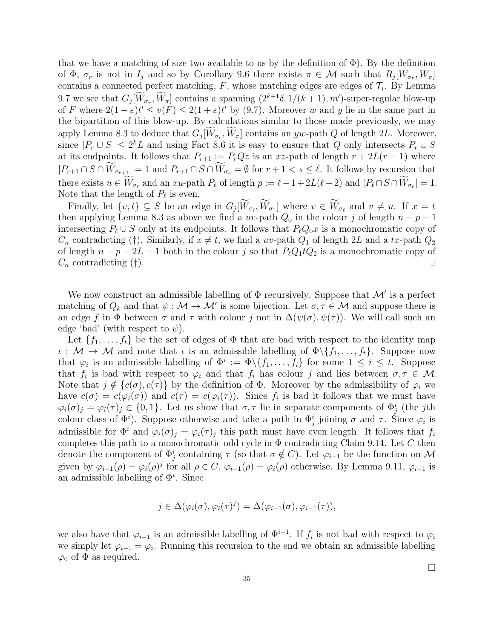that we have a matching of size two available to us by the definition of  $\Phi$ ). By the definition of  $\Phi$ ,  $\sigma_r$  is not in  $I_j$  and so by Corollary [9.6](#page-29-1) there exists  $\pi \in \mathcal{M}$  such that  $R_j[W_{\sigma_r}, W_{\pi}]$ contains a connected perfect matching,  $F$ , whose matching edges are edges of  $\mathcal{T}_j$ . By Lemma [9.7](#page-29-2) we see that  $G_j[W_{\sigma_r}, W_{\pi}]$  contains a spanning  $(2^{k+1}\delta, 1/(k+1), m')$ -super-regular blow-up of F where  $2(1-\varepsilon)t' \le v(F) \le 2(1+\varepsilon)t'$  by [\(9.7\)](#page-28-0). Moreover w and y lie in the same part in the bipartition of this blow-up. By calculations similar to those made previously, we may apply Lemma [8.3](#page-25-0) to deduce that  $G_j[W_{\sigma_r}, W_{\pi}]$  contains an yw-path Q of length 2L. Moreover, since  $|P_r \cup S| \leq 2^k L$  and using Fact [8.6](#page-26-6) it is easy to ensure that Q only intersects  $P_r \cup S$ at its endpoints. It follows that  $P_{r+1} := P_rQz$  is an xz-path of length  $r + 2L(r-1)$  where  $|P_{r+1} \cap S \cap \widetilde{W}_{\sigma_{r+1}}| = 1$  and  $P_{r+1} \cap S \cap \widetilde{W}_{\sigma_s} = \emptyset$  for  $r+1 < s \leq \ell$ . It follows by recursion that there exists  $u \in W_{\sigma_{\ell}}$  and an  $xu$ -path  $P_{\ell}$  of length  $p := \ell - 1 + 2L(\ell - 2)$  and  $|P_{\ell} \cap S \cap W_{\sigma_{\ell}}| = 1$ . Note that the length of  $P_\ell$  is even.

Finally, let  $\{v, t\} \subseteq S$  be an edge in  $G_j[W_{\sigma_\ell}, W_{\sigma_1}]$  where  $v \in W_{\sigma_\ell}$  and  $v \neq u$ . If  $x = t$ then applying Lemma [8.3](#page-25-0) as above we find a uv-path  $Q_0$  in the colour j of length  $n - p - 1$ intersecting  $P_\ell \cup S$  only at its endpoints. It follows that  $P_\ell Q_0x$  is a monochromatic copy of  $C_n$  contradicting ([†](#page-26-3)). Similarly, if  $x \neq t$ , we find a uv-path  $Q_1$  of length 2L and a tx-path  $Q_2$ of length  $n - p - 2L - 1$  both in the colour j so that  $P_{\ell}Q_1tQ_2$  is a monochromatic copy of  $C_n$  contradicting ([†](#page-26-3)).

We now construct an admissible labelling of  $\Phi$  recursively. Suppose that  $\mathcal{M}'$  is a perfect matching of  $Q_k$  and that  $\psi: \mathcal{M} \to \mathcal{M}'$  is some bijection. Let  $\sigma, \tau \in \mathcal{M}$  and suppose there is an edge f in  $\Phi$  between  $\sigma$  and  $\tau$  with colour j not in  $\Delta(\psi(\sigma), \psi(\tau))$ . We will call such an edge 'bad' (with respect to  $\psi$ ).

Let  $\{f_1, \ldots, f_t\}$  be the set of edges of  $\Phi$  that are bad with respect to the identity map  $\iota : \mathcal{M} \to \mathcal{M}$  and note that  $\iota$  is an admissible labelling of  $\Phi \setminus \{f_1, \ldots, f_t\}$ . Suppose now that  $\varphi_i$  is an admissible labelling of  $\Phi^i := \Phi \setminus \{f_1, \ldots, f_i\}$  for some  $1 \leq i \leq t$ . Suppose that  $f_i$  is bad with respect to  $\varphi_i$  and that  $f_i$  has colour j and lies between  $\sigma, \tau \in \mathcal{M}$ . Note that  $j \notin \{c(\sigma), c(\tau)\}\$ by the definition of  $\Phi$ . Moreover by the admissibility of  $\varphi_i$  we have  $c(\sigma) = c(\varphi_i(\sigma))$  and  $c(\tau) = c(\varphi_i(\tau))$ . Since  $f_i$  is bad it follows that we must have  $\varphi_i(\sigma)_j = \varphi_i(\tau)_j \in \{0,1\}$ . Let us show that  $\sigma, \tau$  lie in separate components of  $\Phi_j^i$  (the *j*th colour class of  $\Phi^i$ ). Suppose otherwise and take a path in  $\Phi^i_j$  joining  $\sigma$  and  $\tau$ . Since  $\varphi_i$  is admissible for  $\Phi^i$  and  $\varphi_i(\sigma)_j = \varphi_i(\tau)_j$  this path must have even length. It follows that  $f_i$ completes this path to a monochromatic odd cycle in  $\Phi$  contradicting Claim [9.14.](#page-33-1) Let C then denote the component of  $\Phi_j^i$  containing  $\tau$  (so that  $\sigma \notin C$ ). Let  $\varphi_{i-1}$  be the function on M given by  $\varphi_{i-1}(\rho) = \varphi_i(\rho)^j$  for all  $\rho \in C$ ,  $\varphi_{i-1}(\rho) = \varphi_i(\rho)$  otherwise. By Lemma [9.11,](#page-31-0)  $\varphi_{i-1}$  is an admissible labelling of  $\Phi^i$ . Since

$$
j \in \Delta(\varphi_i(\sigma), \varphi_i(\tau)^j) = \Delta(\varphi_{i-1}(\sigma), \varphi_{i-1}(\tau)),
$$

we also have that  $\varphi_{i-1}$  is an admissible labelling of  $\Phi^{i-1}$ . If  $f_i$  is not bad with respect to  $\varphi_i$ we simply let  $\varphi_{i-1} = \varphi_i$ . Running this recursion to the end we obtain an admissible labelling  $\varphi_0$  of  $\Phi$  as required.

 $\Box$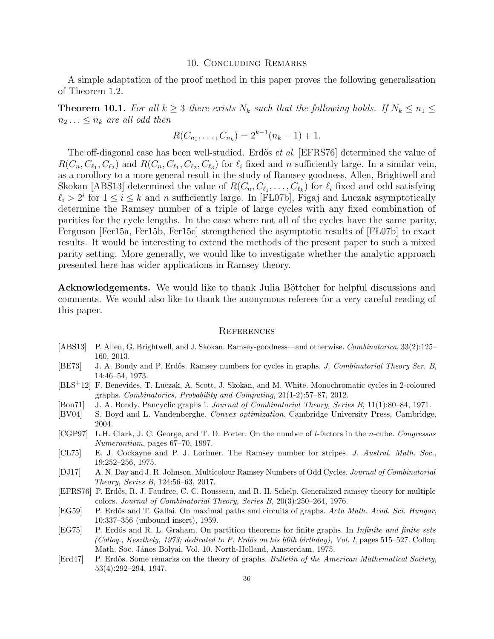#### 10. Concluding Remarks

A simple adaptation of the proof method in this paper proves the following generalisation of Theorem [1.2.](#page-1-1)

**Theorem 10.1.** For all  $k \geq 3$  there exists  $N_k$  such that the following holds. If  $N_k \leq n_1 \leq$  $n_2 \ldots \leq n_k$  are all odd then

$$
R(C_{n_1},\ldots,C_{n_k})=2^{k-1}(n_k-1)+1.
$$

The off-diagonal case has been well-studied. Erdős et al. [\[EFRS76\]](#page-35-10) determined the value of  $R(C_n, C_{\ell_1}, C_{\ell_2})$  and  $R(C_n, C_{\ell_1}, C_{\ell_2}, C_{\ell_3})$  for  $\ell_i$  fixed and n sufficiently large. In a similar vein, as a corollory to a more general result in the study of Ramsey goodness, Allen, Brightwell and Skokan [\[ABS13\]](#page-35-11) determined the value of  $R(C_n, C_{\ell_1}, \ldots, C_{\ell_k})$  for  $\ell_i$  fixed and odd satisfying  $\ell_i > 2^i$  for  $1 \leq i \leq k$  and n sufficiently large. In [FL07b], Figaj and Luczak asymptotically determine the Ramsey number of a triple of large cycles with any fixed combination of parities for the cycle lengths. In the case where not all of the cycles have the same parity, Ferguson [\[Fer15a,](#page-36-17) [Fer15b,](#page-36-18) [Fer15c\]](#page-36-19) strengthened the asymptotic results of [FL07b] to exact results. It would be interesting to extend the methods of the present paper to such a mixed parity setting. More generally, we would like to investigate whether the analytic approach presented here has wider applications in Ramsey theory.

Acknowledgements. We would like to thank Julia Böttcher for helpful discussions and comments. We would also like to thank the anonymous referees for a very careful reading of this paper.

#### **REFERENCES**

- <span id="page-35-11"></span>[ABS13] P. Allen, G. Brightwell, and J. Skokan. Ramsey-goodness—and otherwise. Combinatorica, 33(2):125– 160, 2013.
- <span id="page-35-1"></span>[BE73] J. A. Bondy and P. Erdős. Ramsey numbers for cycles in graphs. J. Combinatorial Theory Ser. B, 14:46–54, 1973.
- <span id="page-35-8"></span>[B LS+12] F. Benevides, T. Luczak, A. Scott, J. Skokan, and M. White. Monochromatic cycles in 2-coloured graphs. Combinatorics, Probability and Computing, 21(1-2):57–87, 2012.
- <span id="page-35-9"></span>[Bon71] J. A. Bondy. Pancyclic graphs i. Journal of Combinatorial Theory, Series B, 11(1):80–84, 1971.
- <span id="page-35-7"></span>[BV04] S. Boyd and L. Vandenberghe. Convex optimization. Cambridge University Press, Cambridge, 2004.
- <span id="page-35-5"></span>[CGP97] L.H. Clark, J. C. George, and T. D. Porter. On the number of l-factors in the n-cube. Congressus Numerantium, pages 67–70, 1997.
- <span id="page-35-2"></span>[CL75] E. J. Cockayne and P. J. Lorimer. The Ramsey number for stripes. J. Austral. Math. Soc., 19:252–256, 1975.
- <span id="page-35-4"></span>[DJ17] A. N. Day and J. R. Johnson. Multicolour Ramsey Numbers of Odd Cycles. *Journal of Combinatorial* Theory, Series B, 124:56–63, 2017.
- <span id="page-35-10"></span>[EFRS76] P. Erd˝os, R. J. Faudree, C. C. Rousseau, and R. H. Schelp. Generalized ramsey theory for multiple colors. Journal of Combinatorial Theory, Series B, 20(3):250–264, 1976.
- <span id="page-35-6"></span>[EG59] P. Erdős and T. Gallai. On maximal paths and circuits of graphs. Acta Math. Acad. Sci. Hungar, 10:337–356 (unbound insert), 1959.
- <span id="page-35-3"></span>[EG75] P. Erdős and R. L. Graham. On partition theorems for finite graphs. In *Infinite and finite sets* (Colloq., Keszthely, 1973; dedicated to P. Erdős on his 60th birthday), Vol. I, pages 515–527. Colloq. Math. Soc. János Bolyai, Vol. 10. North-Holland, Amsterdam, 1975.
- <span id="page-35-0"></span>[Erd47] P. Erdős. Some remarks on the theory of graphs. Bulletin of the American Mathematical Society, 53(4):292–294, 1947.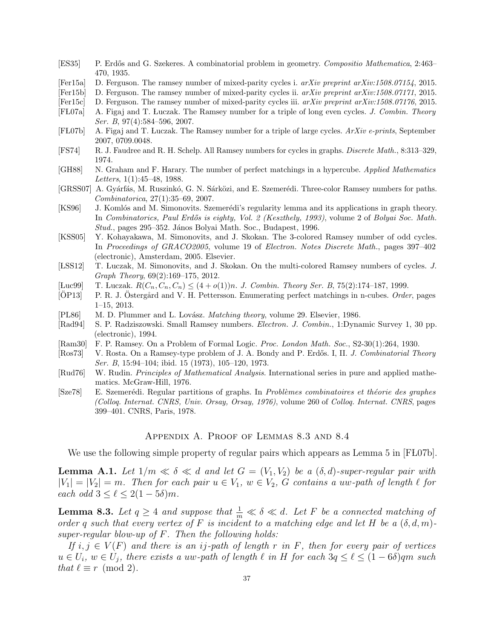- <span id="page-36-1"></span>[ES35] P. Erd˝os and G. Szekeres. A combinatorial problem in geometry. Compositio Mathematica, 2:463– 470, 1935.
- <span id="page-36-17"></span>[Fer15a] D. Ferguson. The ramsey number of mixed-parity cycles i.  $arXiv$  preprint  $arXiv:1508.07154$ , 2015.
- <span id="page-36-18"></span>[Fer15b] D. Ferguson. The ramsey number of mixed-parity cycles ii. arXiv preprint arXiv:1508.07171, 2015.
- <span id="page-36-19"></span>[Fer15c] D. Ferguson. The ramsey number of mixed-parity cycles iii. arXiv preprint arXiv:1508.07176, 2015.
- <span id="page-36-6"></span>[FL07a] A. Figaj and T. Luczak. The Ramsey number for a triple of long even cycles. J. Combin. Theory Ser. B, 97(4):584–596, 2007.
- <span id="page-36-16"></span>[F L07b] A. Figaj and T. Luczak. The Ramsey number for a triple of large cycles. ArXiv e-prints, September 2007, 0709.0048.
- <span id="page-36-2"></span>[FS74] R. J. Faudree and R. H. Schelp. All Ramsey numbers for cycles in graphs. Discrete Math., 8:313–329, 1974.
- <span id="page-36-10"></span>[GH88] N. Graham and F. Harary. The number of perfect matchings in a hypercube. Applied Mathematics Letters, 1(1):45–48, 1988.
- <span id="page-36-7"></span>[GRSS07] A. Gyárfás, M. Ruszinkó, G. N. Sárközi, and E. Szemerédi. Three-color Ramsey numbers for paths. Combinatorica, 27(1):35–69, 2007.
- <span id="page-36-15"></span>[KS96] J. Komlós and M. Simonovits. Szemerédi's regularity lemma and its applications in graph theory. In Combinatorics, Paul Erdős is eighty, Vol. 2 (Keszthely, 1993), volume 2 of Bolyai Soc. Math. Stud., pages 295–352. János Bolyai Math. Soc., Budapest, 1996.
- <span id="page-36-8"></span>[KSS05] Y. Kohayakawa, M. Simonovits, and J. Skokan. The 3-colored Ramsey number of odd cycles. In Proceedings of GRACO2005, volume 19 of Electron. Notes Discrete Math., pages 397–402 (electronic), Amsterdam, 2005. Elsevier.
- <span id="page-36-9"></span>[LSS12] T. Luczak, M. Simonovits, and J. Skokan. On the multi-colored Ramsey numbers of cycles. J. Graph Theory, 69(2):169–175, 2012.
- <span id="page-36-5"></span>[Luc99] T. Luczak.  $R(C_n, C_n, C_n) \leq (4 + o(1))n$ . J. Combin. Theory Ser. B, 75(2):174-187, 1999.
- <span id="page-36-11"></span>[OP13] P. R. J. Ostergård and V. H. Pettersson. Enumerating perfect matchings in n-cubes. Order, pages 1–15, 2013.
- <span id="page-36-12"></span>[PL86] M. D. Plummer and L. Lovász. *Matching theory*, volume 29. Elsevier, 1986.
- <span id="page-36-4"></span>[Rad94] S. P. Radziszowski. Small Ramsey numbers. Electron. J. Combin., 1:Dynamic Survey 1, 30 pp. (electronic), 1994.
- <span id="page-36-0"></span>[Ram30] F. P. Ramsey. On a Problem of Formal Logic. Proc. London Math. Soc., S2-30(1):264, 1930.
- <span id="page-36-3"></span>[Ros73] V. Rosta. On a Ramsey-type problem of J. A. Bondy and P. Erdős. I, II. J. Combinatorial Theory Ser. B, 15:94–104; ibid. 15 (1973), 105–120, 1973.
- <span id="page-36-14"></span>[Rud76] W. Rudin. Principles of Mathematical Analysis. International series in pure and applied mathematics. McGraw-Hill, 1976.
- <span id="page-36-13"></span>[Sze78] E. Szemerédi. Regular partitions of graphs. In Problèmes combinatoires et théorie des graphes (Colloq. Internat. CNRS, Univ. Orsay, Orsay, 1976), volume 260 of Colloq. Internat. CNRS, pages 399–401. CNRS, Paris, 1978.

### Appendix A. Proof of Lemmas [8.3](#page-25-0) and [8.4](#page-26-0)

We use the following simple property of regular pairs which appears as Lemma 5 in [FL07b].

<span id="page-36-20"></span>**Lemma A.1.** Let  $1/m \ll \delta \ll d$  and let  $G = (V_1, V_2)$  be a  $(\delta, d)$ -super-regular pair with  $|V_1| = |V_2| = m$ . Then for each pair  $u \in V_1$ ,  $w \in V_2$ , G contains a uw-path of length  $\ell$  for each odd  $3 \leq \ell \leq 2(1 - 5\delta)m$ .

**Lemma [8.3.](#page-25-0)** Let  $q \ge 4$  and suppose that  $\frac{1}{m} \ll \delta \ll d$ . Let F be a connected matching of order q such that every vertex of F is incident to a matching edge and let H be a  $(\delta, d, m)$ super-regular blow-up of  $F$ . Then the following holds:

If  $i, j \in V(F)$  and there is an ij-path of length r in F, then for every pair of vertices  $u \in U_i$ ,  $w \in U_j$ , there exists a uw-path of length  $\ell$  in H for each  $3q \leq \ell \leq (1 - 6\delta)qm$  such that  $\ell \equiv r \pmod{2}$ .